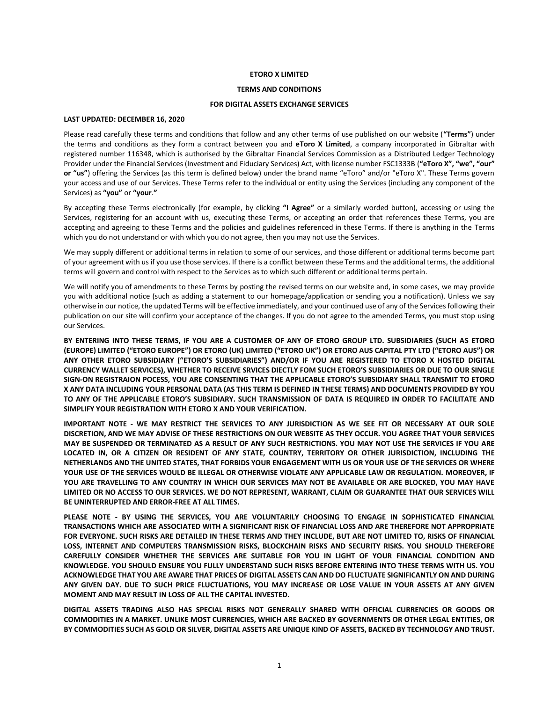#### **ETORO X LIMITED**

#### **TERMS AND CONDITIONS**

## **FOR DIGITAL ASSETS EXCHANGE SERVICES**

## **LAST UPDATED: DECEMBER 16, 2020**

Please read carefully these terms and conditions that follow and any other terms of use published on our website (**"Terms"**) under the terms and conditions as they form a contract between you and **eToro X Limited**, a company incorporated in Gibraltar with registered number 116348, which is authorised by the Gibraltar Financial Services Commission as a Distributed Ledger Technology Provider under the Financial Services (Investment and Fiduciary Services) Act, with license number FSC1333B (**"eToro X", "we", "our" or "us"**) offering the Services (as this term is defined below) under the brand name "eToro" and/or "eToro X". These Terms govern your access and use of our Services. These Terms refer to the individual or entity using the Services (including any component of the Services) as **"you"** or **"your**.**"**

By accepting these Terms electronically (for example, by clicking **"I Agree"** or a similarly worded button), accessing or using the Services, registering for an account with us, executing these Terms, or accepting an order that references these Terms, you are accepting and agreeing to these Terms and the policies and guidelines referenced in these Terms. If there is anything in the Terms which you do not understand or with which you do not agree, then you may not use the Services.

We may supply different or additional terms in relation to some of our services, and those different or additional terms become part of your agreement with us if you use those services. If there is a conflict between these Terms and the additional terms, the additional terms will govern and control with respect to the Services as to which such different or additional terms pertain.

We will notify you of amendments to these Terms by posting the revised terms on our website and, in some cases, we may provide you with additional notice (such as adding a statement to our homepage/application or sending you a notification). Unless we say otherwise in our notice, the updated Terms will be effective immediately, and your continued use of any of the Services following their publication on our site will confirm your acceptance of the changes. If you do not agree to the amended Terms, you must stop using our Services.

**BY ENTERING INTO THESE TERMS, IF YOU ARE A CUSTOMER OF ANY OF ETORO GROUP LTD. SUBSIDIARIES (SUCH AS ETORO (EUROPE) LIMITED ("ETORO EUROPE") OR ETORO (UK) LIMITED ("ETORO UK") OR ETORO AUS CAPITAL PTY LTD ("ETORO AUS") OR ANY OTHER ETORO SUBSIDIARY ("ETORO'S SUBSIDIARIES") AND/OR IF YOU ARE REGISTERED TO ETORO X HOSTED DIGITAL CURRENCY WALLET SERVICES), WHETHER TO RECEIVE SRVICES DIECTLY FOM SUCH ETORO'S SUBSIDIARIES OR DUE TO OUR SINGLE SIGN-ON REGISTRAION POCESS, YOU ARE CONSENTING THAT THE APPLICABLE ETORO'S SUBSIDIARY SHALL TRANSMIT TO ETORO X ANY DATA INCLUDING YOUR PERSONAL DATA (AS THIS TERM IS DEFINED IN THESE TERMS) AND DOCUMENTS PROVIDED BY YOU TO ANY OF THE APPLICABLE ETORO'S SUBSIDIARY. SUCH TRANSMISSION OF DATA IS REQUIRED IN ORDER TO FACILITATE AND SIMPLIFY YOUR REGISTRATION WITH ETORO X AND YOUR VERIFICATION.** 

**IMPORTANT NOTE - WE MAY RESTRICT THE SERVICES TO ANY JURISDICTION AS WE SEE FIT OR NECESSARY AT OUR SOLE DISCRETION, AND WE MAY ADVISE OF THESE RESTRICTIONS ON OUR WEBSITE AS THEY OCCUR. YOU AGREE THAT YOUR SERVICES MAY BE SUSPENDED OR TERMINATED AS A RESULT OF ANY SUCH RESTRICTIONS. YOU MAY NOT USE THE SERVICES IF YOU ARE LOCATED IN, OR A CITIZEN OR RESIDENT OF ANY STATE, COUNTRY, TERRITORY OR OTHER JURISDICTION, INCLUDING THE NETHERLANDS AND THE UNITED STATES, THAT FORBIDS YOUR ENGAGEMENT WITH US OR YOUR USE OF THE SERVICES OR WHERE YOUR USE OF THE SERVICES WOULD BE ILLEGAL OR OTHERWISE VIOLATE ANY APPLICABLE LAW OR REGULATION. MOREOVER, IF YOU ARE TRAVELLING TO ANY COUNTRY IN WHICH OUR SERVICES MAY NOT BE AVAILABLE OR ARE BLOCKED, YOU MAY HAVE LIMITED OR NO ACCESS TO OUR SERVICES. WE DO NOT REPRESENT, WARRANT, CLAIM OR GUARANTEE THAT OUR SERVICES WILL BE UNINTERRUPTED AND ERROR-FREE AT ALL TIMES.**

**PLEASE NOTE - BY USING THE SERVICES, YOU ARE VOLUNTARILY CHOOSING TO ENGAGE IN SOPHISTICATED FINANCIAL TRANSACTIONS WHICH ARE ASSOCIATED WITH A SIGNIFICANT RISK OF FINANCIAL LOSS AND ARE THEREFORE NOT APPROPRIATE FOR EVERYONE. SUCH RISKS ARE DETAILED IN THESE TERMS AND THEY INCLUDE, BUT ARE NOT LIMITED TO, RISKS OF FINANCIAL LOSS, INTERNET AND COMPUTERS TRANSMISSION RISKS, BLOCKCHAIN RISKS AND SECURITY RISKS. YOU SHOULD THEREFORE CAREFULLY CONSIDER WHETHER THE SERVICES ARE SUITABLE FOR YOU IN LIGHT OF YOUR FINANCIAL CONDITION AND KNOWLEDGE. YOU SHOULD ENSURE YOU FULLY UNDERSTAND SUCH RISKS BEFORE ENTERING INTO THESE TERMS WITH US. YOU ACKNOWLEDGE THAT YOU ARE AWARE THAT PRICES OF DIGITAL ASSETS CAN AND DO FLUCTUATE SIGNIFICANTLY ON AND DURING ANY GIVEN DAY. DUE TO SUCH PRICE FLUCTUATIONS, YOU MAY INCREASE OR LOSE VALUE IN YOUR ASSETS AT ANY GIVEN MOMENT AND MAY RESULT IN LOSS OF ALL THE CAPITAL INVESTED.** 

**DIGITAL ASSETS TRADING ALSO HAS SPECIAL RISKS NOT GENERALLY SHARED WITH OFFICIAL CURRENCIES OR GOODS OR COMMODITIES IN A MARKET. UNLIKE MOST CURRENCIES, WHICH ARE BACKED BY GOVERNMENTS OR OTHER LEGAL ENTITIES, OR BY COMMODITIES SUCH AS GOLD OR SILVER, DIGITAL ASSETS ARE UNIQUE KIND OF ASSETS, BACKED BY TECHNOLOGY AND TRUST.**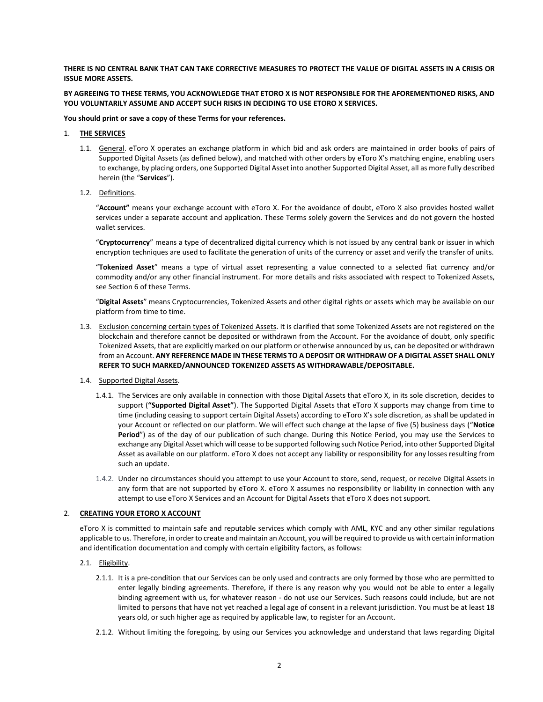## **THERE IS NO CENTRAL BANK THAT CAN TAKE CORRECTIVE MEASURES TO PROTECT THE VALUE OF DIGITAL ASSETS IN A CRISIS OR ISSUE MORE ASSETS.**

## **BY AGREEING TO THESE TERMS, YOU ACKNOWLEDGE THAT ETORO X IS NOT RESPONSIBLE FOR THE AFOREMENTIONED RISKS, AND YOU VOLUNTARILY ASSUME AND ACCEPT SUCH RISKS IN DECIDING TO USE ETORO X SERVICES.**

#### **You should print or save a copy of these Terms for your references.**

#### 1. **THE SERVICES**

- 1.1. General. eToro X operates an exchange platform in which bid and ask orders are maintained in order books of pairs of Supported Digital Assets (as defined below), and matched with other orders by eToro X's matching engine, enabling users to exchange, by placing orders, one Supported Digital Asset into another Supported Digital Asset, all as more fully described herein (the "**Services**").
- 1.2. Definitions.

"**Account"** means your exchange account with eToro X. For the avoidance of doubt, eToro X also provides hosted wallet services under a separate account and application. These Terms solely govern the Services and do not govern the hosted wallet services.

"**Cryptocurrency**" means a type of decentralized digital currency which is not issued by any central bank or issuer in which encryption techniques are used to facilitate the generation of units of the currency or asset and verify the transfer of units.

"**Tokenized Asset**" means a type of virtual asset representing a value connected to a selected fiat currency and/or commodity and/or any other financial instrument. For more details and risks associated with respect to Tokenized Assets, see Sectio[n 6](#page-5-0) of these Terms.

"**Digital Assets**" means Cryptocurrencies, Tokenized Assets and other digital rights or assets which may be available on our platform from time to time.

- 1.3. Exclusion concerning certain types of Tokenized Assets. It is clarified that some Tokenized Assets are not registered on the blockchain and therefore cannot be deposited or withdrawn from the Account. For the avoidance of doubt, only specific Tokenized Assets, that are explicitly marked on our platform or otherwise announced by us, can be deposited or withdrawn from an Account. **ANY REFERENCE MADE IN THESE TERMS TO A DEPOSIT OR WITHDRAW OF A DIGITAL ASSET SHALL ONLY REFER TO SUCH MARKED/ANNOUNCED TOKENIZED ASSETS AS WITHDRAWABLE/DEPOSITABLE.**
- 1.4. Supported Digital Assets.
	- 1.4.1. The Services are only available in connection with those Digital Assets that eToro X, in its sole discretion, decides to support (**"Supported Digital Asset"**). The Supported Digital Assets that eToro X supports may change from time to time (including ceasing to support certain Digital Assets) according to eToro X's sole discretion, as shall be updated in your Account or reflected on our platform. We will effect such change at the lapse of five (5) business days ("**Notice Period**") as of the day of our publication of such change. During this Notice Period, you may use the Services to exchange any Digital Asset which will cease to be supported following such Notice Period, into other Supported Digital Asset as available on our platform. eToro X does not accept any liability or responsibility for any losses resulting from such an update.
	- 1.4.2. Under no circumstances should you attempt to use your Account to store, send, request, or receive Digital Assets in any form that are not supported by eToro X. eToro X assumes no responsibility or liability in connection with any attempt to use eToro X Services and an Account for Digital Assets that eToro X does not support.

## 2. **CREATING YOUR ETORO X ACCOUNT**

eToro X is committed to maintain safe and reputable services which comply with AML, KYC and any other similar regulations applicable to us. Therefore, in order to create and maintain an Account, you will be required to provide us with certain information and identification documentation and comply with certain eligibility factors, as follows:

- 2.1. Eligibility.
	- 2.1.1. It is a pre-condition that our Services can be only used and contracts are only formed by those who are permitted to enter legally binding agreements. Therefore, if there is any reason why you would not be able to enter a legally binding agreement with us, for whatever reason - do not use our Services. Such reasons could include, but are not limited to persons that have not yet reached a legal age of consent in a relevant jurisdiction. You must be at least 18 years old, or such higher age as required by applicable law, to register for an Account.
	- 2.1.2. Without limiting the foregoing, by using our Services you acknowledge and understand that laws regarding Digital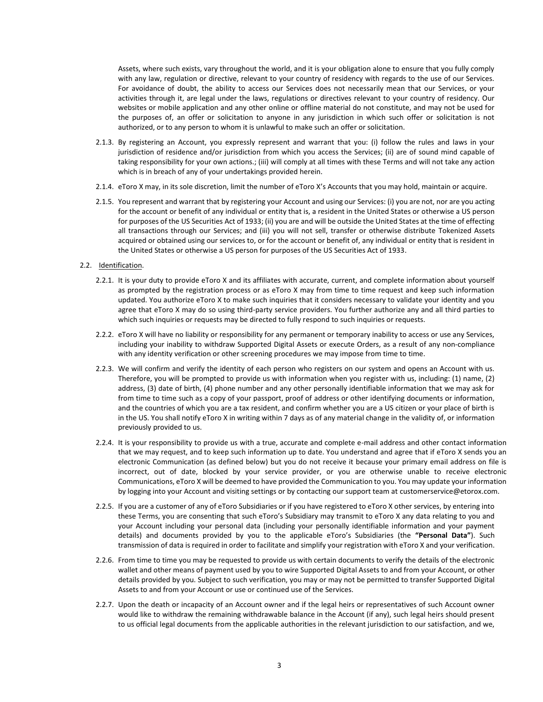Assets, where such exists, vary throughout the world, and it is your obligation alone to ensure that you fully comply with any law, regulation or directive, relevant to your country of residency with regards to the use of our Services. For avoidance of doubt, the ability to access our Services does not necessarily mean that our Services, or your activities through it, are legal under the laws, regulations or directives relevant to your country of residency. Our websites or mobile application and any other online or offline material do not constitute, and may not be used for the purposes of, an offer or solicitation to anyone in any jurisdiction in which such offer or solicitation is not authorized, or to any person to whom it is unlawful to make such an offer or solicitation.

- 2.1.3. By registering an Account, you expressly represent and warrant that you: (i) follow the rules and laws in your jurisdiction of residence and/or jurisdiction from which you access the Services; (ii) are of sound mind capable of taking responsibility for your own actions.; (iii) will comply at all times with these Terms and will not take any action which is in breach of any of your undertakings provided herein.
- 2.1.4. eToro X may, in its sole discretion, limit the number of eToro X's Accounts that you may hold, maintain or acquire.
- 2.1.5. You represent and warrant that by registering your Account and using our Services: (i) you are not, nor are you acting for the account or benefit of any individual or entity that is, a resident in the United States or otherwise a US person for purposes of the US Securities Act of 1933; (ii) you are and will be outside the United States at the time of effecting all transactions through our Services; and (iii) you will not sell, transfer or otherwise distribute Tokenized Assets acquired or obtained using our services to, or for the account or benefit of, any individual or entity that is resident in the United States or otherwise a US person for purposes of the US Securities Act of 1933.
- 2.2. Identification.
	- 2.2.1. It is your duty to provide eToro X and its affiliates with accurate, current, and complete information about yourself as prompted by the registration process or as eToro X may from time to time request and keep such information updated. You authorize eToro X to make such inquiries that it considers necessary to validate your identity and you agree that eToro X may do so using third-party service providers. You further authorize any and all third parties to which such inquiries or requests may be directed to fully respond to such inquiries or requests.
	- 2.2.2. eToro X will have no liability or responsibility for any permanent or temporary inability to access or use any Services, including your inability to withdraw Supported Digital Assets or execute Orders, as a result of any non-compliance with any identity verification or other screening procedures we may impose from time to time.
	- 2.2.3. We will confirm and verify the identity of each person who registers on our system and opens an Account with us. Therefore, you will be prompted to provide us with information when you register with us, including: (1) name, (2) address, (3) date of birth, (4) phone number and any other personally identifiable information that we may ask for from time to time such as a copy of your passport, proof of address or other identifying documents or information, and the countries of which you are a tax resident, and confirm whether you are a US citizen or your place of birth is in the US. You shall notify eToro X in writing within 7 days as of any material change in the validity of, or information previously provided to us.
	- 2.2.4. It is your responsibility to provide us with a true, accurate and complete e-mail address and other contact information that we may request, and to keep such information up to date. You understand and agree that if eToro X sends you an electronic Communication (as defined below) but you do not receive it because your primary email address on file is incorrect, out of date, blocked by your service provider, or you are otherwise unable to receive electronic Communications, eToro X will be deemed to have provided the Communication to you. You may update your information by logging into your Account and visiting settings or by contacting our support team at customerservice@etorox.com.
	- 2.2.5. If you are a customer of any of eToro Subsidiaries or if you have registered to eToro X other services, by entering into these Terms, you are consenting that such eToro's Subsidiary may transmit to eToro X any data relating to you and your Account including your personal data (including your personally identifiable information and your payment details) and documents provided by you to the applicable eToro's Subsidiaries (the **"Personal Data"**). Such transmission of data is required in order to facilitate and simplify your registration with eToro X and your verification.
	- 2.2.6. From time to time you may be requested to provide us with certain documents to verify the details of the electronic wallet and other means of payment used by you to wire Supported Digital Assets to and from your Account, or other details provided by you. Subject to such verification, you may or may not be permitted to transfer Supported Digital Assets to and from your Account or use or continued use of the Services.
	- 2.2.7. Upon the death or incapacity of an Account owner and if the legal heirs or representatives of such Account owner would like to withdraw the remaining withdrawable balance in the Account (if any), such legal heirs should present to us official legal documents from the applicable authorities in the relevant jurisdiction to our satisfaction, and we,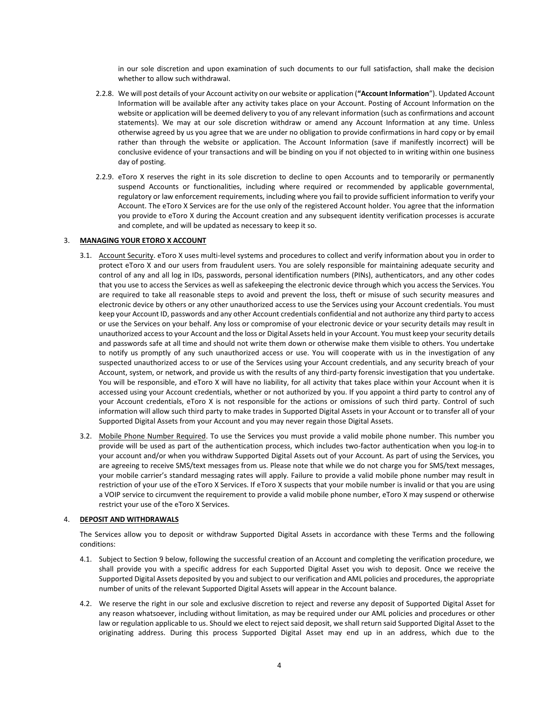in our sole discretion and upon examination of such documents to our full satisfaction, shall make the decision whether to allow such withdrawal.

- 2.2.8. We will post details of your Account activity on our website or application (**"Account Information**"). Updated Account Information will be available after any activity takes place on your Account. Posting of Account Information on the website or application will be deemed delivery to you of any relevant information (such as confirmations and account statements). We may at our sole discretion withdraw or amend any Account Information at any time. Unless otherwise agreed by us you agree that we are under no obligation to provide confirmations in hard copy or by email rather than through the website or application. The Account Information (save if manifestly incorrect) will be conclusive evidence of your transactions and will be binding on you if not objected to in writing within one business day of posting.
- 2.2.9. eToro X reserves the right in its sole discretion to decline to open Accounts and to temporarily or permanently suspend Accounts or functionalities, including where required or recommended by applicable governmental, regulatory or law enforcement requirements, including where you fail to provide sufficient information to verify your Account. The eToro X Services are for the use only of the registered Account holder. You agree that the information you provide to eToro X during the Account creation and any subsequent identity verification processes is accurate and complete, and will be updated as necessary to keep it so.

## 3. **MANAGING YOUR ETORO X ACCOUNT**

- 3.1. Account Security. eToro X uses multi-level systems and procedures to collect and verify information about you in order to protect eToro X and our users from fraudulent users. You are solely responsible for maintaining adequate security and control of any and all log in IDs, passwords, personal identification numbers (PINs), authenticators, and any other codes that you use to access the Services as well as safekeeping the electronic device through which you access the Services. You are required to take all reasonable steps to avoid and prevent the loss, theft or misuse of such security measures and electronic device by others or any other unauthorized access to use the Services using your Account credentials. You must keep your Account ID, passwords and any other Account credentials confidential and not authorize any third party to access or use the Services on your behalf. Any loss or compromise of your electronic device or your security details may result in unauthorized access to your Account and the loss or Digital Assets held in your Account. You must keep your security details and passwords safe at all time and should not write them down or otherwise make them visible to others. You undertake to notify us promptly of any such unauthorized access or use. You will cooperate with us in the investigation of any suspected unauthorized access to or use of the Services using your Account credentials, and any security breach of your Account, system, or network, and provide us with the results of any third-party forensic investigation that you undertake. You will be responsible, and eToro X will have no liability, for all activity that takes place within your Account when it is accessed using your Account credentials, whether or not authorized by you. If you appoint a third party to control any of your Account credentials, eToro X is not responsible for the actions or omissions of such third party. Control of such information will allow such third party to make trades in Supported Digital Assets in your Account or to transfer all of your Supported Digital Assets from your Account and you may never regain those Digital Assets.
- 3.2. Mobile Phone Number Required. To use the Services you must provide a valid mobile phone number. This number you provide will be used as part of the authentication process, which includes two-factor authentication when you log-in to your account and/or when you withdraw Supported Digital Assets out of your Account. As part of using the Services, you are agreeing to receive SMS/text messages from us. Please note that while we do not charge you for SMS/text messages, your mobile carrier's standard messaging rates will apply. Failure to provide a valid mobile phone number may result in restriction of your use of the eToro X Services. If eToro X suspects that your mobile number is invalid or that you are using a VOIP service to circumvent the requirement to provide a valid mobile phone number, eToro X may suspend or otherwise restrict your use of the eToro X Services.

## 4. **DEPOSIT AND WITHDRAWALS**

The Services allow you to deposit or withdraw Supported Digital Assets in accordance with these Terms and the following conditions:

- 4.1. Subject to Section [9](#page-8-0) below, following the successful creation of an Account and completing the verification procedure, we shall provide you with a specific address for each Supported Digital Asset you wish to deposit. Once we receive the Supported Digital Assets deposited by you and subject to our verification and AML policies and procedures, the appropriate number of units of the relevant Supported Digital Assets will appear in the Account balance.
- 4.2. We reserve the right in our sole and exclusive discretion to reject and reverse any deposit of Supported Digital Asset for any reason whatsoever, including without limitation, as may be required under our AML policies and procedures or other law or regulation applicable to us. Should we elect to reject said deposit, we shall return said Supported Digital Asset to the originating address. During this process Supported Digital Asset may end up in an address, which due to the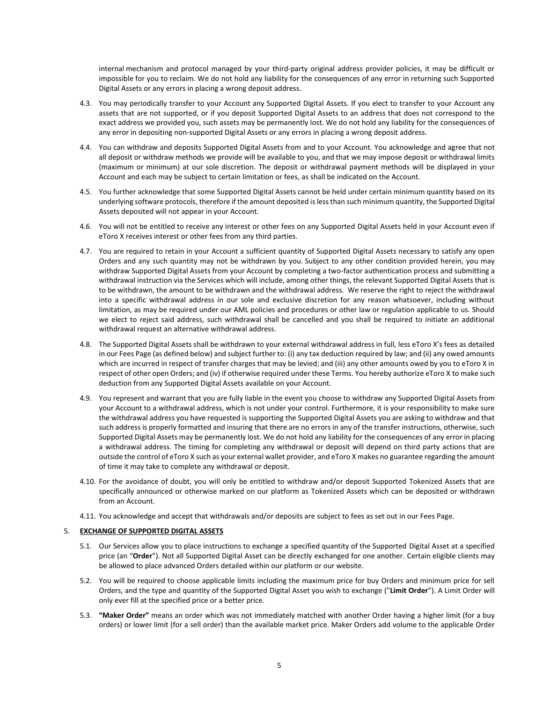internal mechanism and protocol managed by your third-party original address provider policies, it may be difficult or impossible for you to reclaim. We do not hold any liability for the consequences of any error in returning such Supported Digital Assets or any errors in placing a wrong deposit address.

- 4.3. You may periodically transfer to your Account any Supported Digital Assets. If you elect to transfer to your Account any assets that are not supported, or if you deposit Supported Digital Assets to an address that does not correspond to the exact address we provided you, such assets may be permanently lost. We do not hold any liability for the consequences of any error in depositing non-supported Digital Assets or any errors in placing a wrong deposit address.
- 4.4. You can withdraw and deposits Supported Digital Assets from and to your Account. You acknowledge and agree that not all deposit or withdraw methods we provide will be available to you, and that we may impose deposit or withdrawal limits (maximum or minimum) at our sole discretion. The deposit or withdrawal payment methods will be displayed in your Account and each may be subject to certain limitation or fees, as shall be indicated on the Account.
- 4.5. You further acknowledge that some Supported Digital Assets cannot be held under certain minimum quantity based on its underlying software protocols, therefore if the amount deposited is less than such minimum quantity, the Supported Digital Assets deposited will not appear in your Account.
- 4.6. You will not be entitled to receive any interest or other fees on any Supported Digital Assets held in your Account even if eToro X receives interest or other fees from any third parties.
- 4.7. You are required to retain in your Account a sufficient quantity of Supported Digital Assets necessary to satisfy any open Orders and any such quantity may not be withdrawn by you. Subject to any other condition provided herein, you may withdraw Supported Digital Assets from your Account by completing a two-factor authentication process and submitting a withdrawal instruction via the Services which will include, among other things, the relevant Supported Digital Assets that is to be withdrawn, the amount to be withdrawn and the withdrawal address. We reserve the right to reject the withdrawal into a specific withdrawal address in our sole and exclusive discretion for any reason whatsoever, including without limitation, as may be required under our AML policies and procedures or other law or regulation applicable to us. Should we elect to reject said address, such withdrawal shall be cancelled and you shall be required to initiate an additional withdrawal request an alternative withdrawal address.
- 4.8. The Supported Digital Assets shall be withdrawn to your external withdrawal address in full, less eToro X's fees as detailed in our Fees Page (as defined below) and subject further to: (i) any tax deduction required by law; and (ii) any owed amounts which are incurred in respect of transfer charges that may be levied; and (iii) any other amounts owed by you to eToro X in respect of other open Orders; and (iv) if otherwise required under these Terms. You hereby authorize eToro X to make such deduction from any Supported Digital Assets available on your Account.
- 4.9. You represent and warrant that you are fully liable in the event you choose to withdraw any Supported Digital Assets from your Account to a withdrawal address, which is not under your control. Furthermore, it is your responsibility to make sure the withdrawal address you have requested is supporting the Supported Digital Assets you are asking to withdraw and that such address is properly formatted and insuring that there are no errors in any of the transfer instructions, otherwise, such Supported Digital Assets may be permanently lost. We do not hold any liability for the consequences of any error in placing a withdrawal address. The timing for completing any withdrawal or deposit will depend on third party actions that are outside the control of eToro X such as your external wallet provider, and eToro X makes no guarantee regarding the amount of time it may take to complete any withdrawal or deposit.
- 4.10. For the avoidance of doubt, you will only be entitled to withdraw and/or deposit Supported Tokenized Assets that are specifically announced or otherwise marked on our platform as Tokenized Assets which can be deposited or withdrawn from an Account.
- 4.11. You acknowledge and accept that withdrawals and/or deposits are subject to fees as set out in our Fees Page.

## 5. **EXCHANGE OF SUPPORTED DIGITAL ASSETS**

- 5.1. Our Services allow you to place instructions to exchange a specified quantity of the Supported Digital Asset at a specified price (an "**Order**"). Not all Supported Digital Asset can be directly exchanged for one another. Certain eligible clients may be allowed to place advanced Orders detailed within our platform or our website.
- 5.2. You will be required to choose applicable limits including the maximum price for buy Orders and minimum price for sell Orders, and the type and quantity of the Supported Digital Asset you wish to exchange ("**Limit Order**"). A Limit Order will only ever fill at the specified price or a better price.
- 5.3. **"Maker Order"** means an order which was not immediately matched with another Order having a higher limit (for a buy orders) or lower limit (for a sell order) than the available market price. Maker Orders add volume to the applicable Order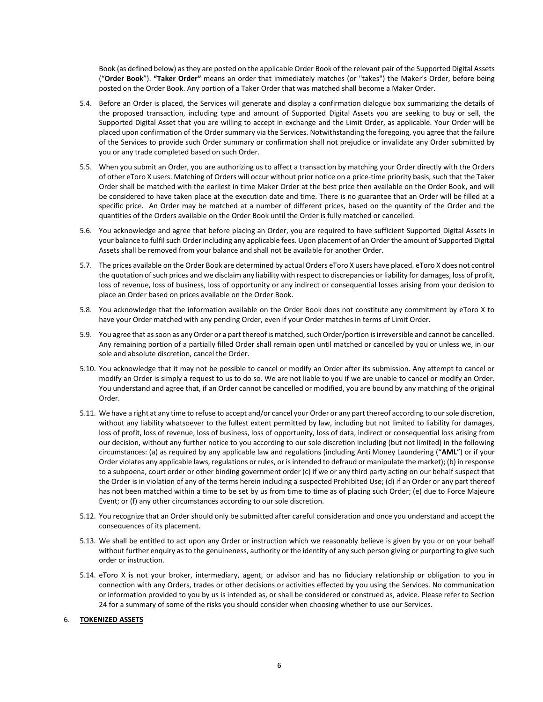Book (as defined below) as they are posted on the applicable Order Book of the relevant pair of the Supported Digital Assets ("**Order Book**"). **"Taker Order"** means an order that immediately matches (or "takes") the Maker's Order, before being posted on the Order Book. Any portion of a Taker Order that was matched shall become a Maker Order.

- 5.4. Before an Order is placed, the Services will generate and display a confirmation dialogue box summarizing the details of the proposed transaction, including type and amount of Supported Digital Assets you are seeking to buy or sell, the Supported Digital Asset that you are willing to accept in exchange and the Limit Order, as applicable. Your Order will be placed upon confirmation of the Order summary via the Services. Notwithstanding the foregoing, you agree that the failure of the Services to provide such Order summary or confirmation shall not prejudice or invalidate any Order submitted by you or any trade completed based on such Order.
- 5.5. When you submit an Order, you are authorizing us to affect a transaction by matching your Order directly with the Orders of other eToro X users. Matching of Orders will occur without prior notice on a price-time priority basis, such that the Taker Order shall be matched with the earliest in time Maker Order at the best price then available on the Order Book, and will be considered to have taken place at the execution date and time. There is no guarantee that an Order will be filled at a specific price. An Order may be matched at a number of different prices, based on the quantity of the Order and the quantities of the Orders available on the Order Book until the Order is fully matched or cancelled.
- 5.6. You acknowledge and agree that before placing an Order, you are required to have sufficient Supported Digital Assets in your balance to fulfil such Order including any applicable fees. Upon placement of an Order the amount of Supported Digital Assets shall be removed from your balance and shall not be available for another Order.
- 5.7. The prices available on the Order Book are determined by actual Orders eToro X users have placed. eToro X does not control the quotation of such prices and we disclaim any liability with respect to discrepancies or liability for damages, loss of profit, loss of revenue, loss of business, loss of opportunity or any indirect or consequential losses arising from your decision to place an Order based on prices available on the Order Book.
- 5.8. You acknowledge that the information available on the Order Book does not constitute any commitment by eToro X to have your Order matched with any pending Order, even if your Order matches in terms of Limit Order.
- 5.9. You agree that as soon as any Order or a part thereof is matched, such Order/portion is irreversible and cannot be cancelled. Any remaining portion of a partially filled Order shall remain open until matched or cancelled by you or unless we, in our sole and absolute discretion, cancel the Order.
- 5.10. You acknowledge that it may not be possible to cancel or modify an Order after its submission. Any attempt to cancel or modify an Order is simply a request to us to do so. We are not liable to you if we are unable to cancel or modify an Order. You understand and agree that, if an Order cannot be cancelled or modified, you are bound by any matching of the original Order.
- 5.11. We have a right at any time to refuse to accept and/or cancel your Order or any part thereof according to our sole discretion, without any liability whatsoever to the fullest extent permitted by law, including but not limited to liability for damages, loss of profit, loss of revenue, loss of business, loss of opportunity, loss of data, indirect or consequential loss arising from our decision, without any further notice to you according to our sole discretion including (but not limited) in the following circumstances: (a) as required by any applicable law and regulations (including Anti Money Laundering ("**AML**") or if your Order violates any applicable laws, regulations or rules, or is intended to defraud or manipulate the market); (b) in response to a subpoena, court order or other binding government order (c) if we or any third party acting on our behalf suspect that the Order is in violation of any of the terms herein including a suspected Prohibited Use; (d) if an Order or any part thereof has not been matched within a time to be set by us from time to time as of placing such Order; (e) due to Force Majeure Event; or (f) any other circumstances according to our sole discretion.
- 5.12. You recognize that an Order should only be submitted after careful consideration and once you understand and accept the consequences of its placement.
- 5.13. We shall be entitled to act upon any Order or instruction which we reasonably believe is given by you or on your behalf without further enquiry as to the genuineness, authority or the identity of any such person giving or purporting to give such order or instruction.
- 5.14. eToro X is not your broker, intermediary, agent, or advisor and has no fiduciary relationship or obligation to you in connection with any Orders, trades or other decisions or activities effected by you using the Services. No communication or information provided to you by us is intended as, or shall be considered or construed as, advice. Please refer to Section [24](#page-14-0) for a summary of some of the risks you should consider when choosing whether to use our Services.

## <span id="page-5-0"></span>6. **TOKENIZED ASSETS**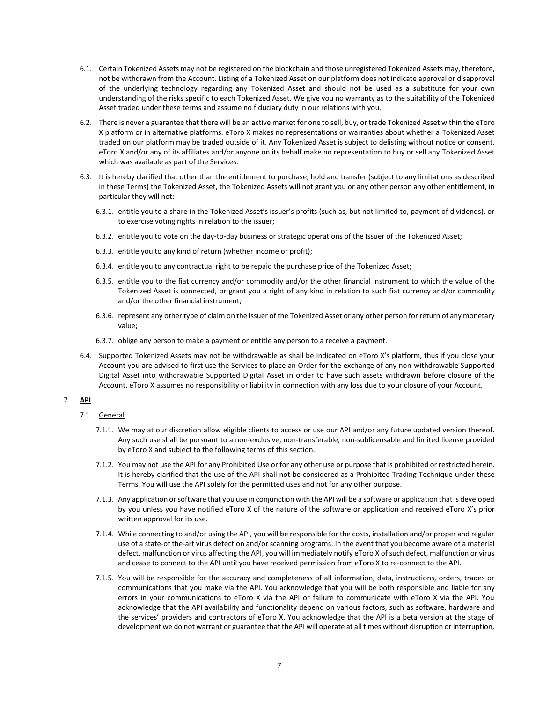- 6.1. Certain Tokenized Assets may not be registered on the blockchain and those unregistered Tokenized Assets may, therefore, not be withdrawn from the Account. Listing of a Tokenized Asset on our platform does not indicate approval or disapproval of the underlying technology regarding any Tokenized Asset and should not be used as a substitute for your own understanding of the risks specific to each Tokenized Asset. We give you no warranty as to the suitability of the Tokenized Asset traded under these terms and assume no fiduciary duty in our relations with you.
- 6.2. There is never a guarantee that there will be an active market for one to sell, buy, or trade Tokenized Asset within the eToro X platform or in alternative platforms. eToro X makes no representations or warranties about whether a Tokenized Asset traded on our platform may be traded outside of it. Any Tokenized Asset is subject to delisting without notice or consent. eToro X and/or any of its affiliates and/or anyone on its behalf make no representation to buy or sell any Tokenized Asset which was available as part of the Services.
- 6.3. It is hereby clarified that other than the entitlement to purchase, hold and transfer (subject to any limitations as described in these Terms) the Tokenized Asset, the Tokenized Assets will not grant you or any other person any other entitlement, in particular they will not:
	- 6.3.1. entitle you to a share in the Tokenized Asset's issuer's profits (such as, but not limited to, payment of dividends), or to exercise voting rights in relation to the issuer;
	- 6.3.2. entitle you to vote on the day-to-day business or strategic operations of the Issuer of the Tokenized Asset;
	- 6.3.3. entitle you to any kind of return (whether income or profit);
	- 6.3.4. entitle you to any contractual right to be repaid the purchase price of the Tokenized Asset;
	- 6.3.5. entitle you to the fiat currency and/or commodity and/or the other financial instrument to which the value of the Tokenized Asset is connected, or grant you a right of any kind in relation to such fiat currency and/or commodity and/or the other financial instrument;
	- 6.3.6. represent any other type of claim on the issuer of the Tokenized Asset or any other person for return of any monetary value;
	- 6.3.7. oblige any person to make a payment or entitle any person to a receive a payment.
- 6.4. Supported Tokenized Assets may not be withdrawable as shall be indicated on eToro X's platform, thus if you close your Account you are advised to first use the Services to place an Order for the exchange of any non-withdrawable Supported Digital Asset into withdrawable Supported Digital Asset in order to have such assets withdrawn before closure of the Account. eToro X assumes no responsibility or liability in connection with any loss due to your closure of your Account.

# 7. **API**

- 7.1. General.
	- 7.1.1. We may at our discretion allow eligible clients to access or use our API and/or any future updated version thereof. Any such use shall be pursuant to a non-exclusive, non-transferable, non-sublicensable and limited license provided by eToro X and subject to the following terms of this section.
	- 7.1.2. You may not use the API for any Prohibited Use or for any other use or purpose that is prohibited or restricted herein. It is hereby clarified that the use of the API shall not be considered as a Prohibited Trading Technique under these Terms. You will use the API solely for the permitted uses and not for any other purpose.
	- 7.1.3. Any application or software that you use in conjunction with the API will be a software or application that is developed by you unless you have notified eToro X of the nature of the software or application and received eToro X's prior written approval for its use.
	- 7.1.4. While connecting to and/or using the API, you will be responsible for the costs, installation and/or proper and regular use of a state-of the-art virus detection and/or scanning programs. In the event that you become aware of a material defect, malfunction or virus affecting the API, you will immediately notify eToro X of such defect, malfunction or virus and cease to connect to the API until you have received permission from eToro X to re-connect to the API.
	- 7.1.5. You will be responsible for the accuracy and completeness of all information, data, instructions, orders, trades or communications that you make via the API. You acknowledge that you will be both responsible and liable for any errors in your communications to eToro X via the API or failure to communicate with eToro X via the API. You acknowledge that the API availability and functionality depend on various factors, such as software, hardware and the services' providers and contractors of eToro X. You acknowledge that the API is a beta version at the stage of development we do not warrant or guarantee that the API will operate at all times without disruption or interruption,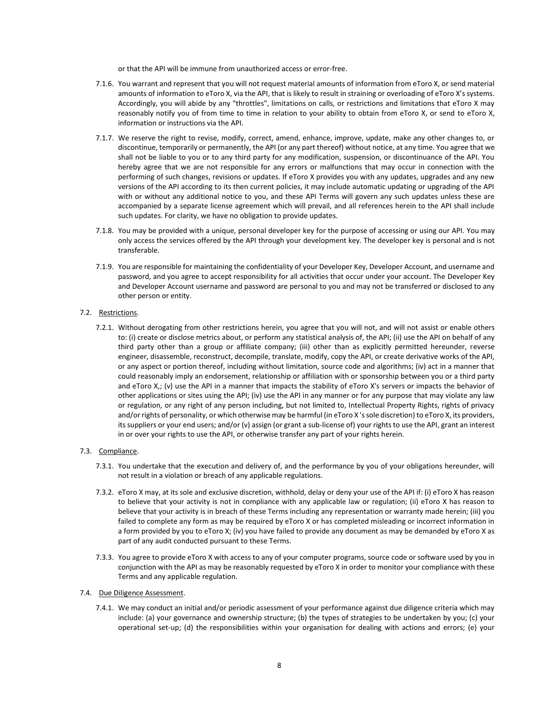or that the API will be immune from unauthorized access or error-free.

- 7.1.6. You warrant and represent that you will not request material amounts of information from eToro X, or send material amounts of information to eToro X, via the API, that is likely to result in straining or overloading of eToro X's systems. Accordingly, you will abide by any "throttles", limitations on calls, or restrictions and limitations that eToro X may reasonably notify you of from time to time in relation to your ability to obtain from eToro X, or send to eToro X, information or instructions via the API.
- 7.1.7. We reserve the right to revise, modify, correct, amend, enhance, improve, update, make any other changes to, or discontinue, temporarily or permanently, the API (or any part thereof) without notice, at any time. You agree that we shall not be liable to you or to any third party for any modification, suspension, or discontinuance of the API. You hereby agree that we are not responsible for any errors or malfunctions that may occur in connection with the performing of such changes, revisions or updates. If eToro X provides you with any updates, upgrades and any new versions of the API according to its then current policies, it may include automatic updating or upgrading of the API with or without any additional notice to you, and these API Terms will govern any such updates unless these are accompanied by a separate license agreement which will prevail, and all references herein to the API shall include such updates. For clarity, we have no obligation to provide updates.
- 7.1.8. You may be provided with a unique, personal developer key for the purpose of accessing or using our API. You may only access the services offered by the API through your development key. The developer key is personal and is not transferable.
- 7.1.9. You are responsible for maintaining the confidentiality of your Developer Key, Developer Account, and username and password, and you agree to accept responsibility for all activities that occur under your account. The Developer Key and Developer Account username and password are personal to you and may not be transferred or disclosed to any other person or entity.

## 7.2. Restrictions.

7.2.1. Without derogating from other restrictions herein, you agree that you will not, and will not assist or enable others to: (i) create or disclose metrics about, or perform any statistical analysis of, the API; (ii) use the API on behalf of any third party other than a group or affiliate company; (iii) other than as explicitly permitted hereunder, reverse engineer, disassemble, reconstruct, decompile, translate, modify, copy the API, or create derivative works of the API, or any aspect or portion thereof, including without limitation, source code and algorithms; (iv) act in a manner that could reasonably imply an endorsement, relationship or affiliation with or sponsorship between you or a third party and eToro X,; (v) use the API in a manner that impacts the stability of eToro X's servers or impacts the behavior of other applications or sites using the API; (iv) use the API in any manner or for any purpose that may violate any law or regulation, or any right of any person including, but not limited to, Intellectual Property Rights, rights of privacy and/or rights of personality, or which otherwise may be harmful (in eToro X 's sole discretion) to eToro X, its providers, its suppliers or your end users; and/or (v) assign (or grant a sub-license of) your rights to use the API, grant an interest in or over your rights to use the API, or otherwise transfer any part of your rights herein.

## 7.3. Compliance.

- 7.3.1. You undertake that the execution and delivery of, and the performance by you of your obligations hereunder, will not result in a violation or breach of any applicable regulations.
- 7.3.2. eToro X may, at its sole and exclusive discretion, withhold, delay or deny your use of the API if: (i) eToro X has reason to believe that your activity is not in compliance with any applicable law or regulation; (ii) eToro X has reason to believe that your activity is in breach of these Terms including any representation or warranty made herein; (iii) you failed to complete any form as may be required by eToro X or has completed misleading or incorrect information in a form provided by you to eToro X; (iv) you have failed to provide any document as may be demanded by eToro X as part of any audit conducted pursuant to these Terms.
- 7.3.3. You agree to provide eToro X with access to any of your computer programs, source code or software used by you in conjunction with the API as may be reasonably requested by eToro X in order to monitor your compliance with these Terms and any applicable regulation.
- 7.4. Due Diligence Assessment.
	- 7.4.1. We may conduct an initial and/or periodic assessment of your performance against due diligence criteria which may include: (a) your governance and ownership structure; (b) the types of strategies to be undertaken by you; (c) your operational set-up; (d) the responsibilities within your organisation for dealing with actions and errors; (e) your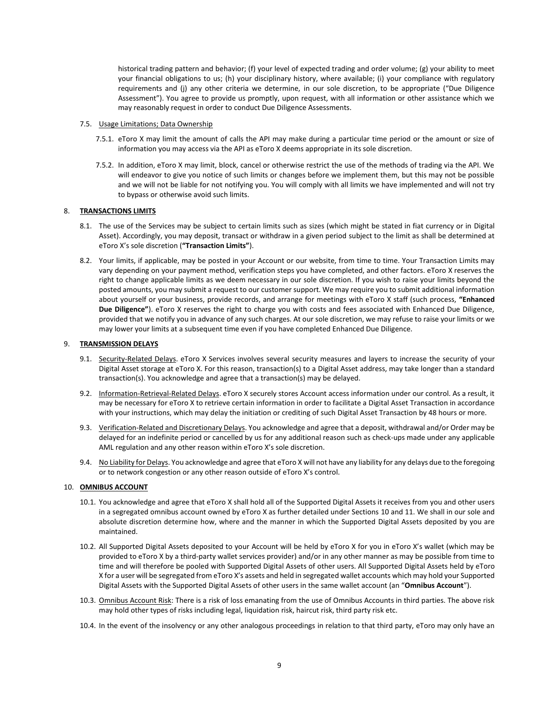historical trading pattern and behavior; (f) your level of expected trading and order volume; (g) your ability to meet your financial obligations to us; (h) your disciplinary history, where available; (i) your compliance with regulatory requirements and (j) any other criteria we determine, in our sole discretion, to be appropriate ("Due Diligence Assessment"). You agree to provide us promptly, upon request, with all information or other assistance which we may reasonably request in order to conduct Due Diligence Assessments.

#### 7.5. Usage Limitations; Data Ownership

- 7.5.1. eToro X may limit the amount of calls the API may make during a particular time period or the amount or size of information you may access via the API as eToro X deems appropriate in its sole discretion.
- 7.5.2. In addition, eToro X may limit, block, cancel or otherwise restrict the use of the methods of trading via the API. We will endeavor to give you notice of such limits or changes before we implement them, but this may not be possible and we will not be liable for not notifying you. You will comply with all limits we have implemented and will not try to bypass or otherwise avoid such limits.

## 8. **TRANSACTIONS LIMITS**

- 8.1. The use of the Services may be subject to certain limits such as sizes (which might be stated in fiat currency or in Digital Asset). Accordingly, you may deposit, transact or withdraw in a given period subject to the limit as shall be determined at eToro X's sole discretion (**"Transaction Limits"**).
- 8.2. Your limits, if applicable, may be posted in your Account or our website, from time to time. Your Transaction Limits may vary depending on your payment method, verification steps you have completed, and other factors. eToro X reserves the right to change applicable limits as we deem necessary in our sole discretion. If you wish to raise your limits beyond the posted amounts, you may submit a request to our customer support. We may require you to submit additional information about yourself or your business, provide records, and arrange for meetings with eToro X staff (such process, **"Enhanced Due Diligence"**). eToro X reserves the right to charge you with costs and fees associated with Enhanced Due Diligence, provided that we notify you in advance of any such charges. At our sole discretion, we may refuse to raise your limits or we may lower your limits at a subsequent time even if you have completed Enhanced Due Diligence.

## <span id="page-8-0"></span>9. **TRANSMISSION DELAYS**

- 9.1. Security-Related Delays. eToro X Services involves several security measures and layers to increase the security of your Digital Asset storage at eToro X. For this reason, transaction(s) to a Digital Asset address, may take longer than a standard transaction(s). You acknowledge and agree that a transaction(s) may be delayed.
- 9.2. Information-Retrieval-Related Delays. eToro X securely stores Account access information under our control. As a result, it may be necessary for eToro X to retrieve certain information in order to facilitate a Digital Asset Transaction in accordance with your instructions, which may delay the initiation or crediting of such Digital Asset Transaction by 48 hours or more.
- 9.3. Verification-Related and Discretionary Delays. You acknowledge and agree that a deposit, withdrawal and/or Order may be delayed for an indefinite period or cancelled by us for any additional reason such as check-ups made under any applicable AML regulation and any other reason within eToro X's sole discretion.
- 9.4. No Liability for Delays. You acknowledge and agree that eToro X will not have any liability for any delays due to the foregoing or to network congestion or any other reason outside of eToro X's control.

## <span id="page-8-1"></span>10. **OMNIBUS ACCOUNT**

- 10.1. You acknowledge and agree that eToro X shall hold all of the Supported Digital Assets it receives from you and other users in a segregated omnibus account owned by eToro X as further detailed under Section[s 10](#page-8-1) and [11.](#page-9-0) We shall in our sole and absolute discretion determine how, where and the manner in which the Supported Digital Assets deposited by you are maintained.
- 10.2. All Supported Digital Assets deposited to your Account will be held by eToro X for you in eToro X's wallet (which may be provided to eToro X by a third-party wallet services provider) and/or in any other manner as may be possible from time to time and will therefore be pooled with Supported Digital Assets of other users. All Supported Digital Assets held by eToro X for a user will be segregated from eToro X's assets and held in segregated wallet accounts which may hold your Supported Digital Assets with the Supported Digital Assets of other users in the same wallet account (an "**Omnibus Account**").
- 10.3. Omnibus Account Risk: There is a risk of loss emanating from the use of Omnibus Accounts in third parties. The above risk may hold other types of risks including legal, liquidation risk, haircut risk, third party risk etc.
- 10.4. In the event of the insolvency or any other analogous proceedings in relation to that third party, eToro may only have an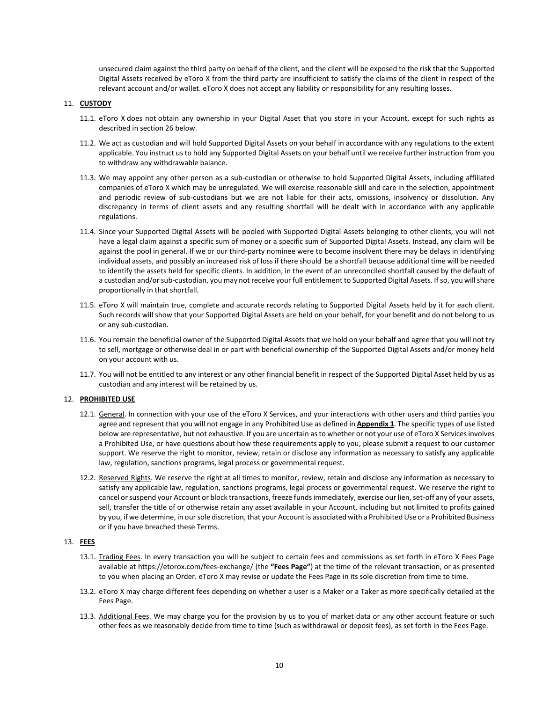unsecured claim against the third party on behalf of the client, and the client will be exposed to the risk that the Supported Digital Assets received by eToro X from the third party are insufficient to satisfy the claims of the client in respect of the relevant account and/or wallet. eToro X does not accept any liability or responsibility for any resulting losses.

## <span id="page-9-0"></span>11. **CUSTODY**

- 11.1. eToro X does not obtain any ownership in your Digital Asset that you store in your Account, except for such rights as described in sectio[n 26](#page-16-0) below.
- 11.2. We act as custodian and will hold Supported Digital Assets on your behalf in accordance with any regulations to the extent applicable. You instruct us to hold any Supported Digital Assets on your behalf until we receive further instruction from you to withdraw any withdrawable balance.
- 11.3. We may appoint any other person as a sub-custodian or otherwise to hold Supported Digital Assets, including affiliated companies of eToro X which may be unregulated. We will exercise reasonable skill and care in the selection, appointment and periodic review of sub-custodians but we are not liable for their acts, omissions, insolvency or dissolution. Any discrepancy in terms of client assets and any resulting shortfall will be dealt with in accordance with any applicable regulations.
- 11.4. Since your Supported Digital Assets will be pooled with Supported Digital Assets belonging to other clients, you will not have a legal claim against a specific sum of money or a specific sum of Supported Digital Assets. Instead, any claim will be against the pool in general. If we or our third-party nominee were to become insolvent there may be delays in identifying individual assets, and possibly an increased risk of loss if there should be a shortfall because additional time will be needed to identify the assets held for specific clients. In addition, in the event of an unreconciled shortfall caused by the default of a custodian and/or sub-custodian, you may not receive your full entitlement to Supported Digital Assets. If so, you will share proportionally in that shortfall.
- 11.5. eToro X will maintain true, complete and accurate records relating to Supported Digital Assets held by it for each client. Such records will show that your Supported Digital Assets are held on your behalf, for your benefit and do not belong to us or any sub-custodian.
- 11.6. You remain the beneficial owner of the Supported Digital Assets that we hold on your behalf and agree that you will not try to sell, mortgage or otherwise deal in or part with beneficial ownership of the Supported Digital Assets and/or money held on your account with us.
- 11.7. You will not be entitled to any interest or any other financial benefit in respect of the Supported Digital Asset held by us as custodian and any interest will be retained by us.

## 12. **PROHIBITED USE**

- 12.1. General. In connection with your use of the eToro X Services, and your interactions with other users and third parties you agree and represent that you will not engage in any [Prohibited Use](https://www.coinbase.com/legal/user_agreement?country=uk#appendix-1:-prohibited-businesses-and-prohibited-use) as defined in **Appendix 1**. The specific types of use listed below are representative, but not exhaustive. If you are uncertain as to whether or not your use of eToro X Services involves a Prohibited Use, or have questions about how these requirements apply to you, please submit a request to our customer support. We reserve the right to monitor, review, retain or disclose any information as necessary to satisfy any applicable law, regulation, sanctions programs, legal process or governmental request.
- 12.2. Reserved Rights. We reserve the right at all times to monitor, review, retain and disclose any information as necessary to satisfy any applicable law, regulation, sanctions programs, legal process or governmental request. We reserve the right to cancel or suspend your Account or block transactions, freeze funds immediately, exercise our lien, set-off any of your assets, sell, transfer the title of or otherwise retain any asset available in your Account, including but not limited to profits gained by you, if we determine, in our sole discretion, that your Account is associated with a Prohibited Use or a Prohibited Business or if you have breached these Terms.

## 13. **FEES**

- 13.1. Trading Fees. In every transaction you will be subject to certain fees and commissions as set forth in eToro X Fees Page available at<https://etorox.com/fees-exchange/> (the **"Fees Page"**) at the time of the relevant transaction, or as presented to you when placing an Order. eToro X may revise or update the Fees Page in its sole discretion from time to time.
- 13.2. eToro X may charge different fees depending on whether a user is a Maker or a Taker as more specifically detailed at the Fees Page.
- 13.3. Additional Fees. We may charge you for the provision by us to you of market data or any other account feature or such other fees as we reasonably decide from time to time (such as withdrawal or deposit fees), as set forth in the Fees Page.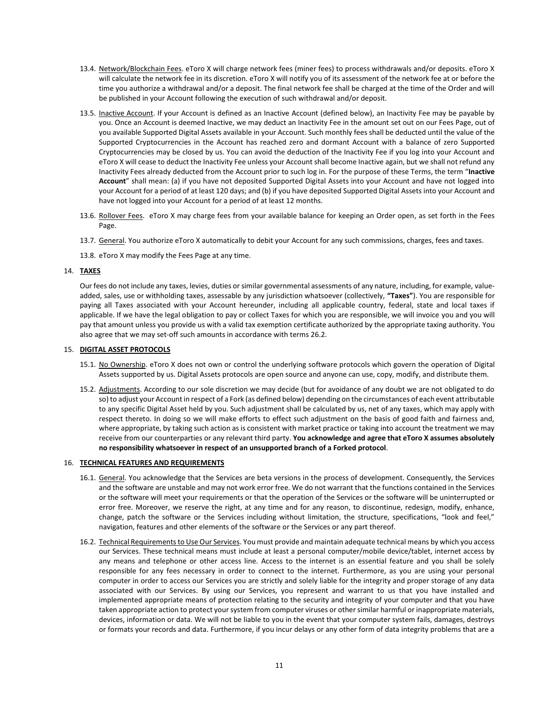- 13.4. Network/Blockchain Fees. eToro X will charge network fees (miner fees) to process withdrawals and/or deposits. eToro X will calculate the network fee in its discretion. eToro X will notify you of its assessment of the network fee at or before the time you authorize a withdrawal and/or a deposit. The final network fee shall be charged at the time of the Order and will be published in your Account following the execution of such withdrawal and/or deposit.
- 13.5. Inactive Account. If your Account is defined as an Inactive Account (defined below), an Inactivity Fee may be payable by you. Once an Account is deemed Inactive, we may deduct an Inactivity Fee in the amount set out on our Fees Page, out of you available Supported Digital Assets available in your Account. Such monthly fees shall be deducted until the value of the Supported Cryptocurrencies in the Account has reached zero and dormant Account with a balance of zero Supported Cryptocurrencies may be closed by us. You can avoid the deduction of the Inactivity Fee if you log into your Account and eToro X will cease to deduct the Inactivity Fee unless your Account shall become Inactive again, but we shall not refund any Inactivity Fees already deducted from the Account prior to such log in. For the purpose of these Terms, the term "**Inactive Account**" shall mean: (a) if you have not deposited Supported Digital Assets into your Account and have not logged into your Account for a period of at least 120 days; and (b) if you have deposited Supported Digital Assets into your Account and have not logged into your Account for a period of at least 12 months.
- 13.6. Rollover Fees. eToro X may charge fees from your available balance for keeping an Order open, as set forth in the Fees Page.
- 13.7. General. You authorize eToro X automatically to debit your Account for any such commissions, charges, fees and taxes.
- 13.8. eToro X may modify the Fees Page at any time.

## 14. **TAXES**

Our fees do not include any taxes, levies, duties or similar governmental assessments of any nature, including, for example, valueadded, sales, use or withholding taxes, assessable by any jurisdiction whatsoever (collectively, **"Taxes"**). You are responsible for paying all Taxes associated with your Account hereunder, including all applicable country, federal, state and local taxes if applicable. If we have the legal obligation to pay or collect Taxes for which you are responsible, we will invoice you and you will pay that amount unless you provide us with a valid tax exemption certificate authorized by the appropriate taxing authority. You also agree that we may set-off such amounts in accordance with terms [26.2.](#page-16-1)

## 15. **DIGITAL ASSET PROTOCOLS**

- 15.1. No Ownership. eToro X does not own or control the underlying software protocols which govern the operation of Digital Assets supported by us. Digital Assets protocols are open source and anyone can use, copy, modify, and distribute them.
- 15.2. Adjustments. According to our sole discretion we may decide (but for avoidance of any doubt we are not obligated to do so) to adjust your Account in respect of a Fork (as defined below) depending on the circumstances of each event attributable to any specific Digital Asset held by you. Such adjustment shall be calculated by us, net of any taxes, which may apply with respect thereto. In doing so we will make efforts to effect such adjustment on the basis of good faith and fairness and, where appropriate, by taking such action as is consistent with market practice or taking into account the treatment we may receive from our counterparties or any relevant third party. **You acknowledge and agree that eToro X assumes absolutely no responsibility whatsoever in respect of an unsupported branch of a Forked protocol**.

## 16. **TECHNICAL FEATURES AND REQUIREMENTS**

- 16.1. General. You acknowledge that the Services are beta versions in the process of development. Consequently, the Services and the software are unstable and may not work error free. We do not warrant that the functions contained in the Services or the software will meet your requirements or that the operation of the Services or the software will be uninterrupted or error free. Moreover, we reserve the right, at any time and for any reason, to discontinue, redesign, modify, enhance, change, patch the software or the Services including without limitation, the structure, specifications, "look and feel," navigation, features and other elements of the software or the Services or any part thereof.
- 16.2. Technical Requirements to Use Our Services. You must provide and maintain adequate technical means by which you access our Services. These technical means must include at least a personal computer/mobile device/tablet, internet access by any means and telephone or other access line. Access to the internet is an essential feature and you shall be solely responsible for any fees necessary in order to connect to the internet. Furthermore, as you are using your personal computer in order to access our Services you are strictly and solely liable for the integrity and proper storage of any data associated with our Services. By using our Services, you represent and warrant to us that you have installed and implemented appropriate means of protection relating to the security and integrity of your computer and that you have taken appropriate action to protect your system from computer viruses or other similar harmful or inappropriate materials, devices, information or data. We will not be liable to you in the event that your computer system fails, damages, destroys or formats your records and data. Furthermore, if you incur delays or any other form of data integrity problems that are a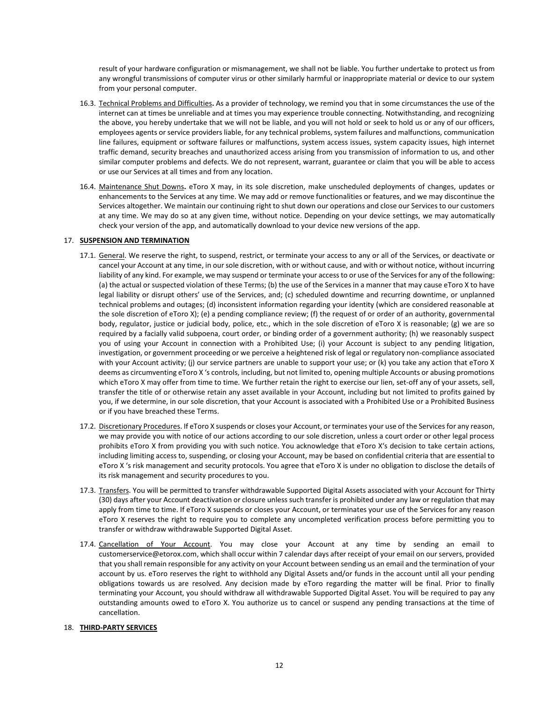result of your hardware configuration or mismanagement, we shall not be liable. You further undertake to protect us from any wrongful transmissions of computer virus or other similarly harmful or inappropriate material or device to our system from your personal computer.

- 16.3. Technical Problems and Difficulties**.** As a provider of technology, we remind you that in some circumstances the use of the internet can at times be unreliable and at times you may experience trouble connecting. Notwithstanding, and recognizing the above, you hereby undertake that we will not be liable, and you will not hold or seek to hold us or any of our officers, employees agents or service providers liable, for any technical problems, system failures and malfunctions, communication line failures, equipment or software failures or malfunctions, system access issues, system capacity issues, high internet traffic demand, security breaches and unauthorized access arising from you transmission of information to us, and other similar computer problems and defects. We do not represent, warrant, guarantee or claim that you will be able to access or use our Services at all times and from any location.
- 16.4. Maintenance Shut Downs**.** eToro X may, in its sole discretion, make unscheduled deployments of changes, updates or enhancements to the Services at any time. We may add or remove functionalities or features, and we may discontinue the Services altogether. We maintain our continuing right to shut down our operations and close our Services to our customers at any time. We may do so at any given time, without notice. Depending on your device settings, we may automatically check your version of the app, and automatically download to your device new versions of the app.

## 17. **SUSPENSION AND TERMINATION**

- 17.1. General. We reserve the right, to suspend, restrict, or terminate your access to any or all of the Services, or deactivate or cancel your Account at any time, in our sole discretion, with or without cause, and with or without notice, without incurring liability of any kind. For example, we may suspend or terminate your access to or use of the Services for any of the following: (a) the actual or suspected violation of these Terms; (b) the use of the Services in a manner that may cause eToro X to have legal liability or disrupt others' use of the Services, and; (c) scheduled downtime and recurring downtime, or unplanned technical problems and outages; (d) inconsistent information regarding your identity (which are considered reasonable at the sole discretion of eToro X); (e) a pending compliance review; (f) the request of or order of an authority, governmental body, regulator, justice or judicial body, police, etc., which in the sole discretion of eToro X is reasonable; (g) we are so required by a facially valid subpoena, court order, or binding order of a government authority; (h) we reasonably suspect you of using your Account in connection with a [Prohibited](https://www.coinbase.com/legal/user_agreement?country=uk#appendix-1:-prohibited-businesses-and-prohibited-use) Use; (i) your Account is subject to any pending litigation, investigation, or government proceeding or we perceive a heightened risk of legal or regulatory non-compliance associated with your Account activity; (j) our service partners are unable to support your use; or (k) you take any action that eToro X deems as circumventing eToro X 's controls, including, but not limited to, opening multiple Accounts or abusing promotions which eToro X may offer from time to time. We further retain the right to exercise our lien, set-off any of your assets, sell, transfer the title of or otherwise retain any asset available in your Account, including but not limited to profits gained by you, if we determine, in our sole discretion, that your Account is associated with a Prohibited Use or a Prohibited Business or if you have breached these Terms.
- 17.2. Discretionary Procedures. If eToro X suspends or closes your Account, or terminates your use of the Services for any reason, we may provide you with notice of our actions according to our sole discretion, unless a court order or other legal process prohibits eToro X from providing you with such notice. You acknowledge that eToro X's decision to take certain actions, including limiting access to, suspending, or closing your Account, may be based on confidential criteria that are essential to eToro X 's risk management and security protocols. You agree that eToro X is under no obligation to disclose the details of its risk management and security procedures to you.
- 17.3. Transfers. You will be permitted to transfer withdrawable Supported Digital Assets associated with your Account for Thirty (30) days after your Account deactivation or closure unless such transfer is prohibited under any law or regulation that may apply from time to time. If eToro X suspends or closes your Account, or terminates your use of the Services for any reason eToro X reserves the right to require you to complete any uncompleted verification process before permitting you to transfer or withdraw withdrawable Supported Digital Asset.
- 17.4. Cancellation of Your Account. You may close your Account at any time by sending an email to customerservice@etorox.com, which shall occur within 7 calendar days after receipt of your email on our servers, provided that you shall remain responsible for any activity on your Account between sending us an email and the termination of your account by us. eToro reserves the right to withhold any Digital Assets and/or funds in the account until all your pending obligations towards us are resolved. Any decision made by eToro regarding the matter will be final. Prior to finally terminating your Account, you should withdraw all withdrawable Supported Digital Asset. You will be required to pay any outstanding amounts owed to eToro X. You authorize us to cancel or suspend any pending transactions at the time of cancellation.

## 18. **THIRD-PARTY SERVICES**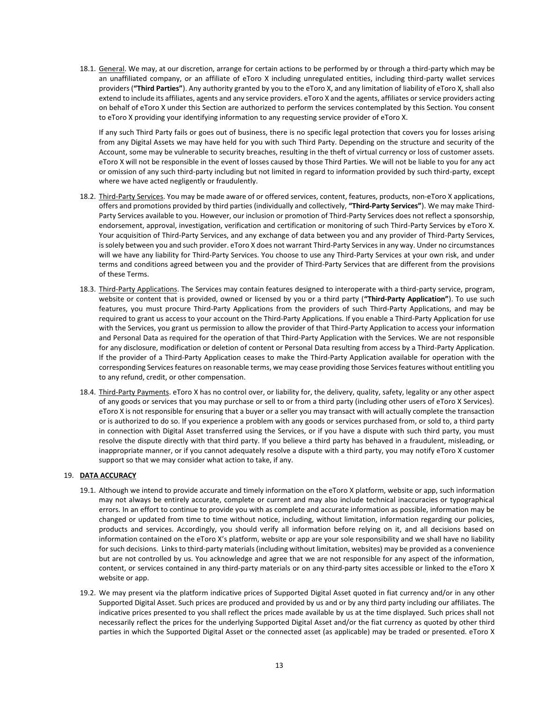18.1. General. We may, at our discretion, arrange for certain actions to be performed by or through a third-party which may be an unaffiliated company, or an affiliate of eToro X including unregulated entities, including third-party wallet services providers (**"Third Parties"**). Any authority granted by you to the eToro X, and any limitation of liability of eToro X, shall also extend to include its affiliates, agents and any service providers. eToro X and the agents, affiliates or service providers acting on behalf of eToro X under this Section are authorized to perform the services contemplated by this Section. You consent to eToro X providing your identifying information to any requesting service provider of eToro X.

If any such Third Party fails or goes out of business, there is no specific legal protection that covers you for losses arising from any Digital Assets we may have held for you with such Third Party. Depending on the structure and security of the Account, some may be vulnerable to security breaches, resulting in the theft of virtual currency or loss of customer assets. eToro X will not be responsible in the event of losses caused by those Third Parties. We will not be liable to you for any act or omission of any such third-party including but not limited in regard to information provided by such third-party, except where we have acted negligently or fraudulently.

- 18.2. Third-Party Services. You may be made aware of or offered services, content, features, products, non-eToro X applications, offers and promotions provided by third parties (individually and collectively, **"Third-Party Services"**). We may make Third-Party Services available to you. However, our inclusion or promotion of Third-Party Services does not reflect a sponsorship, endorsement, approval, investigation, verification and certification or monitoring of such Third-Party Services by eToro X. Your acquisition of Third-Party Services, and any exchange of data between you and any provider of Third-Party Services, is solely between you and such provider. eToro X does not warrant Third-Party Services in any way. Under no circumstances will we have any liability for Third-Party Services. You choose to use any Third-Party Services at your own risk, and under terms and conditions agreed between you and the provider of Third-Party Services that are different from the provisions of these Terms.
- 18.3. Third-Party Applications. The Services may contain features designed to interoperate with a third-party service, program, website or content that is provided, owned or licensed by you or a third party (**"Third-Party Application"**). To use such features, you must procure Third-Party Applications from the providers of such Third-Party Applications, and may be required to grant us access to your account on the Third-Party Applications. If you enable a Third-Party Application for use with the Services, you grant us permission to allow the provider of that Third-Party Application to access your information and Personal Data as required for the operation of that Third-Party Application with the Services. We are not responsible for any disclosure, modification or deletion of content or Personal Data resulting from access by a Third-Party Application. If the provider of a Third-Party Application ceases to make the Third-Party Application available for operation with the corresponding Services features on reasonable terms, we may cease providing those Services features without entitling you to any refund, credit, or other compensation.
- 18.4. Third-Party Payments. eToro X has no control over, or liability for, the delivery, quality, safety, legality or any other aspect of any goods or services that you may purchase or sell to or from a third party (including other users of eToro X Services). eToro X is not responsible for ensuring that a buyer or a seller you may transact with will actually complete the transaction or is authorized to do so. If you experience a problem with any goods or services purchased from, or sold to, a third party in connection with Digital Asset transferred using the Services, or if you have a dispute with such third party, you must resolve the dispute directly with that third party. If you believe a third party has behaved in a fraudulent, misleading, or inappropriate manner, or if you cannot adequately resolve a dispute with a third party, you may notify eToro X customer support so that we may consider what action to take, if any.

## 19. **DATA ACCURACY**

- 19.1. Although we intend to provide accurate and timely information on the eToro X platform, website or app, such information may not always be entirely accurate, complete or current and may also include technical inaccuracies or typographical errors. In an effort to continue to provide you with as complete and accurate information as possible, information may be changed or updated from time to time without notice, including, without limitation, information regarding our policies, products and services. Accordingly, you should verify all information before relying on it, and all decisions based on information contained on the eToro X's platform, website or app are your sole responsibility and we shall have no liability for such decisions. Links to third-party materials (including without limitation, websites) may be provided as a convenience but are not controlled by us. You acknowledge and agree that we are not responsible for any aspect of the information, content, or services contained in any third-party materials or on any third-party sites accessible or linked to the eToro X website or app.
- 19.2. We may present via the platform indicative prices of Supported Digital Asset quoted in fiat currency and/or in any other Supported Digital Asset. Such prices are produced and provided by us and or by any third party including our affiliates. The indicative prices presented to you shall reflect the prices made available by us at the time displayed. Such prices shall not necessarily reflect the prices for the underlying Supported Digital Asset and/or the fiat currency as quoted by other third parties in which the Supported Digital Asset or the connected asset (as applicable) may be traded or presented. eToro X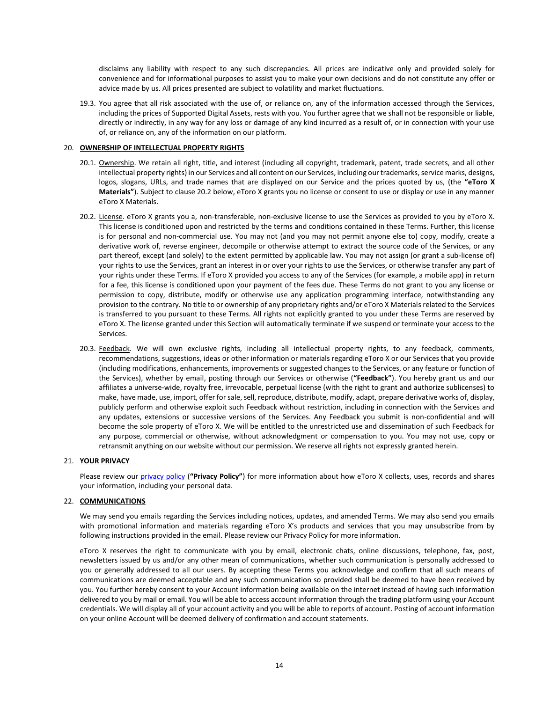disclaims any liability with respect to any such discrepancies. All prices are indicative only and provided solely for convenience and for informational purposes to assist you to make your own decisions and do not constitute any offer or advice made by us. All prices presented are subject to volatility and market fluctuations.

19.3. You agree that all risk associated with the use of, or reliance on, any of the information accessed through the Services, including the prices of Supported Digital Assets, rests with you. You further agree that we shall not be responsible or liable, directly or indirectly, in any way for any loss or damage of any kind incurred as a result of, or in connection with your use of, or reliance on, any of the information on our platform.

## 20. **OWNERSHIP OF INTELLECTUAL PROPERTY RIGHTS**

- 20.1. Ownership. We retain all right, title, and interest (including all copyright, trademark, patent, trade secrets, and all other intellectual property rights) in our Services and all content on our Services, including our trademarks, service marks, designs, logos, slogans, URLs, and trade names that are displayed on our Service and the prices quoted by us, (the **"eToro X Materials"**). Subject to claus[e 20.2](#page-13-0) below, eToro X grants you no license or consent to use or display or use in any manner eToro X Materials.
- <span id="page-13-0"></span>20.2. License. eToro X grants you a, non-transferable, non-exclusive license to use the Services as provided to you by eToro X. This license is conditioned upon and restricted by the terms and conditions contained in these Terms. Further, this license is for personal and non-commercial use. You may not (and you may not permit anyone else to) copy, modify, create a derivative work of, reverse engineer, decompile or otherwise attempt to extract the source code of the Services, or any part thereof, except (and solely) to the extent permitted by applicable law. You may not assign (or grant a sub-license of) your rights to use the Services, grant an interest in or over your rights to use the Services, or otherwise transfer any part of your rights under these Terms. If eToro X provided you access to any of the Services (for example, a mobile app) in return for a fee, this license is conditioned upon your payment of the fees due. These Terms do not grant to you any license or permission to copy, distribute, modify or otherwise use any application programming interface, notwithstanding any provision to the contrary. No title to or ownership of any proprietary rights and/or eToro X Materials related to the Services is transferred to you pursuant to these Terms. All rights not explicitly granted to you under these Terms are reserved by eToro X. The license granted under this Section will automatically terminate if we suspend or terminate your access to the Services.
- 20.3. Feedback. We will own exclusive rights, including all intellectual property rights, to any feedback, comments, recommendations, suggestions, ideas or other information or materials regarding eToro X or our Services that you provide (including modifications, enhancements, improvements or suggested changes to the Services, or any feature or function of the Services), whether by email, posting through our Services or otherwise (**"Feedback"**). You hereby grant us and our affiliates a universe-wide, royalty free, irrevocable, perpetual license (with the right to grant and authorize sublicenses) to make, have made, use, import, offer for sale, sell, reproduce, distribute, modify, adapt, prepare derivative works of, display, publicly perform and otherwise exploit such Feedback without restriction, including in connection with the Services and any updates, extensions or successive versions of the Services. Any Feedback you submit is non-confidential and will become the sole property of eToro X. We will be entitled to the unrestricted use and dissemination of such Feedback for any purpose, commercial or otherwise, without acknowledgment or compensation to you. You may not use, copy or retransmit anything on our website without our permission. We reserve all rights not expressly granted herein.

## 21. **YOUR PRIVACY**

Please review our [privacy policy](https://1mr3lc1zt3xi1fzits1il485-wpengine.netdna-ssl.com/wp-content/uploads/2019/02/eToro-Privacy-Policy-13.2.2019-clean.pdf) (**"Privacy Policy"**) for more information about how eToro X collects, uses, records and shares your information, including your personal data.

## 22. **COMMUNICATIONS**

We may send you emails regarding the Services including notices, updates, and amended Terms. We may also send you emails with promotional information and materials regarding eToro X's products and services that you may unsubscribe from by following instructions provided in the email. Please review our Privacy Policy for more information.

eToro X reserves the right to communicate with you by email, electronic chats, online discussions, telephone, fax, post, newsletters issued by us and/or any other mean of communications, whether such communication is personally addressed to you or generally addressed to all our users. By accepting these Terms you acknowledge and confirm that all such means of communications are deemed acceptable and any such communication so provided shall be deemed to have been received by you. You further hereby consent to your Account information being available on the internet instead of having such information delivered to you by mail or email. You will be able to access account information through the trading platform using your Account credentials. We will display all of your account activity and you will be able to reports of account. Posting of account information on your online Account will be deemed delivery of confirmation and account statements.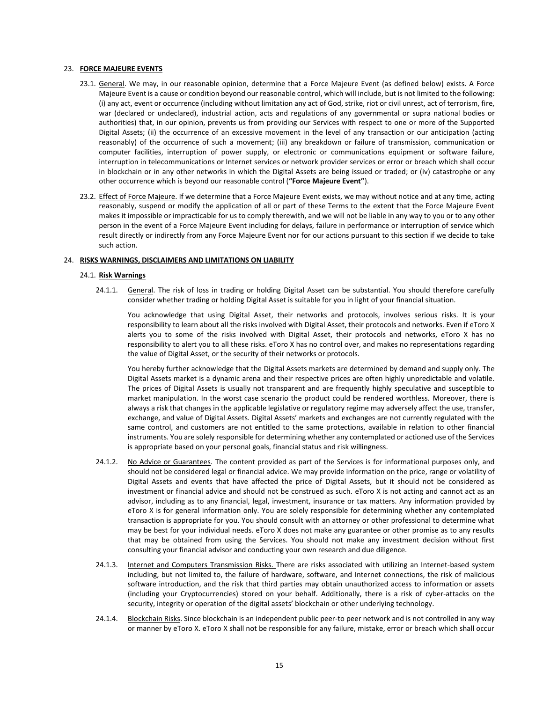## 23. **FORCE MAJEURE EVENTS**

- 23.1. General. We may, in our reasonable opinion, determine that a Force Majeure Event (as defined below) exists. A Force Majeure Event is a cause or condition beyond our reasonable control, which will include, but is not limited to the following: (i) any act, event or occurrence (including without limitation any act of God, strike, riot or civil unrest, act of terrorism, fire, war (declared or undeclared), industrial action, acts and regulations of any governmental or supra national bodies or authorities) that, in our opinion, prevents us from providing our Services with respect to one or more of the Supported Digital Assets; (ii) the occurrence of an excessive movement in the level of any transaction or our anticipation (acting reasonably) of the occurrence of such a movement; (iii) any breakdown or failure of transmission, communication or computer facilities, interruption of power supply, or electronic or communications equipment or software failure, interruption in telecommunications or Internet services or network provider services or error or breach which shall occur in blockchain or in any other networks in which the Digital Assets are being issued or traded; or (iv) catastrophe or any other occurrence which is beyond our reasonable control (**"Force Majeure Event"**).
- 23.2. Effect of Force Majeure. If we determine that a Force Majeure Event exists, we may without notice and at any time, acting reasonably, suspend or modify the application of all or part of these Terms to the extent that the Force Majeure Event makes it impossible or impracticable for us to comply therewith, and we will not be liable in any way to you or to any other person in the event of a Force Majeure Event including for delays, failure in performance or interruption of service which result directly or indirectly from any Force Majeure Event nor for our actions pursuant to this section if we decide to take such action.

## <span id="page-14-0"></span>24. **RISKS WARNINGS, DISCLAIMERS AND LIMITATIONS ON LIABILITY**

## 24.1. **Risk Warnings**

24.1.1. General. The risk of loss in trading or holding Digital Asset can be substantial. You should therefore carefully consider whether trading or holding Digital Asset is suitable for you in light of your financial situation.

You acknowledge that using Digital Asset, their networks and protocols, involves serious risks. It is your responsibility to learn about all the risks involved with Digital Asset, their protocols and networks. Even if eToro X alerts you to some of the risks involved with Digital Asset, their protocols and networks, eToro X has no responsibility to alert you to all these risks. eToro X has no control over, and makes no representations regarding the value of Digital Asset, or the security of their networks or protocols.

You hereby further acknowledge that the Digital Assets markets are determined by demand and supply only. The Digital Assets market is a dynamic arena and their respective prices are often highly unpredictable and volatile. The prices of Digital Assets is usually not transparent and are frequently highly speculative and susceptible to market manipulation. In the worst case scenario the product could be rendered worthless. Moreover, there is always a risk that changes in the applicable legislative or regulatory regime may adversely affect the use, transfer, exchange, and value of Digital Assets. Digital Assets' markets and exchanges are not currently regulated with the same control, and customers are not entitled to the same protections, available in relation to other financial instruments. You are solely responsible for determining whether any contemplated or actioned use of the Services is appropriate based on your personal goals, financial status and risk willingness.

- 24.1.2. No Advice or Guarantees. The content provided as part of the Services is for informational purposes only, and should not be considered legal or financial advice. We may provide information on the price, range or volatility of Digital Assets and events that have affected the price of Digital Assets, but it should not be considered as investment or financial advice and should not be construed as such. eToro X is not acting and cannot act as an advisor, including as to any financial, legal, investment, insurance or tax matters. Any information provided by eToro X is for general information only. You are solely responsible for determining whether any contemplated transaction is appropriate for you. You should consult with an attorney or other professional to determine what may be best for your individual needs. eToro X does not make any guarantee or other promise as to any results that may be obtained from using the Services. You should not make any investment decision without first consulting your financial advisor and conducting your own research and due diligence.
- 24.1.3. Internet and Computers Transmission Risks. There are risks associated with utilizing an Internet-based system including, but not limited to, the failure of hardware, software, and Internet connections, the risk of malicious software introduction, and the risk that third parties may obtain unauthorized access to information or assets (including your Cryptocurrencies) stored on your behalf. Additionally, there is a risk of cyber-attacks on the security, integrity or operation of the digital assets' blockchain or other underlying technology.
- 24.1.4. Blockchain Risks. Since blockchain is an independent public peer-to peer network and is not controlled in any way or manner by eToro X. eToro X shall not be responsible for any failure, mistake, error or breach which shall occur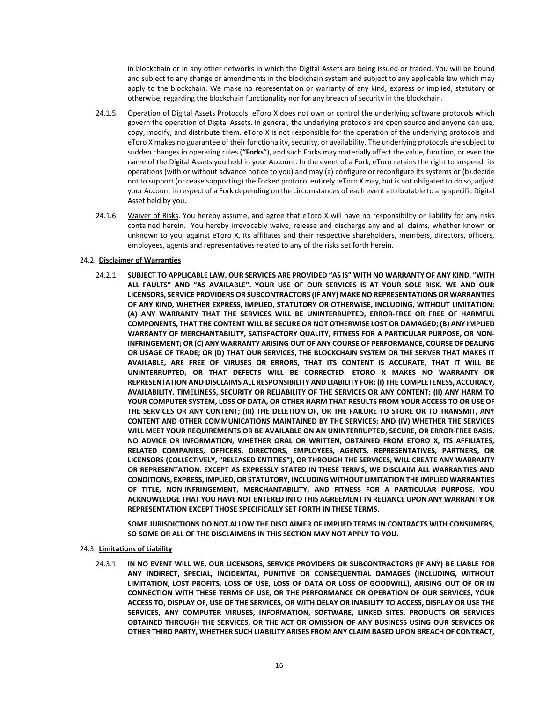in blockchain or in any other networks in which the Digital Assets are being issued or traded. You will be bound and subject to any change or amendments in the blockchain system and subject to any applicable law which may apply to the blockchain. We make no representation or warranty of any kind, express or implied, statutory or otherwise, regarding the blockchain functionality nor for any breach of security in the blockchain.

- 24.1.5. Operation of Digital Assets Protocols. eToro X does not own or control the underlying software protocols which govern the operation of Digital Assets. In general, the underlying protocols are open source and anyone can use, copy, modify, and distribute them. eToro X is not responsible for the operation of the underlying protocols and eToro X makes no guarantee of their functionality, security, or availability. The underlying protocols are subject to sudden changes in operating rules (**"Forks**"), and such Forks may materially affect the value, function, or even the name of the Digital Assets you hold in your Account. In the event of a Fork, eToro retains the right to suspend its operations (with or without advance notice to you) and may (a) configure or reconfigure its systems or (b) decide not to support (or cease supporting) the Forked protocol entirely. eToro X may, but is not obligated to do so, adjust your Account in respect of a Fork depending on the circumstances of each event attributable to any specific Digital Asset held by you.
- 24.1.6. Waiver of Risks. You hereby assume, and agree that eToro X will have no responsibility or liability for any risks contained herein. You hereby irrevocably waive, release and discharge any and all claims, whether known or unknown to you, against eToro X, its affiliates and their respective shareholders, members, directors, officers, employees, agents and representatives related to any of the risks set forth herein.

## 24.2. **Disclaimer of Warranties**

24.2.1. **SUBJECT TO APPLICABLE LAW, OUR SERVICES ARE PROVIDED "AS IS" WITH NO WARRANTY OF ANY KIND, "WITH ALL FAULTS" AND "AS AVAILABLE". YOUR USE OF OUR SERVICES IS AT YOUR SOLE RISK. WE AND OUR LICENSORS, SERVICE PROVIDERS OR SUBCONTRACTORS (IF ANY) MAKE NO REPRESENTATIONS OR WARRANTIES OF ANY KIND, WHETHER EXPRESS, IMPLIED, STATUTORY OR OTHERWISE, INCLUDING, WITHOUT LIMITATION: (A) ANY WARRANTY THAT THE SERVICES WILL BE UNINTERRUPTED, ERROR-FREE OR FREE OF HARMFUL COMPONENTS, THAT THE CONTENT WILL BE SECURE OR NOT OTHERWISE LOST OR DAMAGED; (B) ANY IMPLIED WARRANTY OF MERCHANTABILITY, SATISFACTORY QUALITY, FITNESS FOR A PARTICULAR PURPOSE, OR NON-INFRINGEMENT; OR (C) ANY WARRANTY ARISING OUT OF ANY COURSE OF PERFORMANCE, COURSE OF DEALING OR USAGE OF TRADE; OR (D) THAT OUR SERVICES, THE BLOCKCHAIN SYSTEM OR THE SERVER THAT MAKES IT AVAILABLE, ARE FREE OF VIRUSES OR ERRORS, THAT ITS CONTENT IS ACCURATE, THAT IT WILL BE UNINTERRUPTED, OR THAT DEFECTS WILL BE CORRECTED. ETORO X MAKES NO WARRANTY OR REPRESENTATION AND DISCLAIMS ALL RESPONSIBILITY AND LIABILITY FOR: (I) THE COMPLETENESS, ACCURACY, AVAILABILITY, TIMELINESS, SECURITY OR RELIABILITY OF THE SERVICES OR ANY CONTENT; (II) ANY HARM TO YOUR COMPUTER SYSTEM, LOSS OF DATA, OR OTHER HARM THAT RESULTS FROM YOUR ACCESS TO OR USE OF THE SERVICES OR ANY CONTENT; (III) THE DELETION OF, OR THE FAILURE TO STORE OR TO TRANSMIT, ANY CONTENT AND OTHER COMMUNICATIONS MAINTAINED BY THE SERVICES; AND (IV) WHETHER THE SERVICES WILL MEET YOUR REQUIREMENTS OR BE AVAILABLE ON AN UNINTERRUPTED, SECURE, OR ERROR-FREE BASIS. NO ADVICE OR INFORMATION, WHETHER ORAL OR WRITTEN, OBTAINED FROM ETORO X, ITS AFFILIATES, RELATED COMPANIES, OFFICERS, DIRECTORS, EMPLOYEES, AGENTS, REPRESENTATIVES, PARTNERS, OR LICENSORS (COLLECTIVELY, "RELEASED ENTITIES"), OR THROUGH THE SERVICES, WILL CREATE ANY WARRANTY OR REPRESENTATION. EXCEPT AS EXPRESSLY STATED IN THESE TERMS, WE DISCLAIM ALL WARRANTIES AND CONDITIONS, EXPRESS, IMPLIED, OR STATUTORY, INCLUDING WITHOUT LIMITATION THE IMPLIED WARRANTIES OF TITLE, NON-INFRINGEMENT, MERCHANTABILITY, AND FITNESS FOR A PARTICULAR PURPOSE. YOU ACKNOWLEDGE THAT YOU HAVE NOT ENTERED INTO THIS AGREEMENT IN RELIANCE UPON ANY WARRANTY OR REPRESENTATION EXCEPT THOSE SPECIFICALLY SET FORTH IN THESE TERMS.** 

**SOME JURISDICTIONS DO NOT ALLOW THE DISCLAIMER OF IMPLIED TERMS IN CONTRACTS WITH CONSUMERS, SO SOME OR ALL OF THE DISCLAIMERS IN THIS SECTION MAY NOT APPLY TO YOU.**

## 24.3. **Limitations of Liability**

24.3.1. **IN NO EVENT WILL WE, OUR LICENSORS, SERVICE PROVIDERS OR SUBCONTRACTORS (IF ANY) BE LIABLE FOR ANY INDIRECT, SPECIAL, INCIDENTAL, PUNITIVE OR CONSEQUENTIAL DAMAGES (INCLUDING, WITHOUT LIMITATION, LOST PROFITS, LOSS OF USE, LOSS OF DATA OR LOSS OF GOODWILL), ARISING OUT OF OR IN CONNECTION WITH THESE TERMS OF USE, OR THE PERFORMANCE OR OPERATION OF OUR SERVICES, YOUR ACCESS TO, DISPLAY OF, USE OF THE SERVICES, OR WITH DELAY OR INABILITY TO ACCESS, DISPLAY OR USE THE SERVICES, ANY COMPUTER VIRUSES, INFORMATION, SOFTWARE, LINKED SITES, PRODUCTS OR SERVICES OBTAINED THROUGH THE SERVICES, OR THE ACT OR OMISSION OF ANY BUSINESS USING OUR SERVICES OR OTHER THIRD PARTY, WHETHER SUCH LIABILITY ARISES FROM ANY CLAIM BASED UPON BREACH OF CONTRACT,**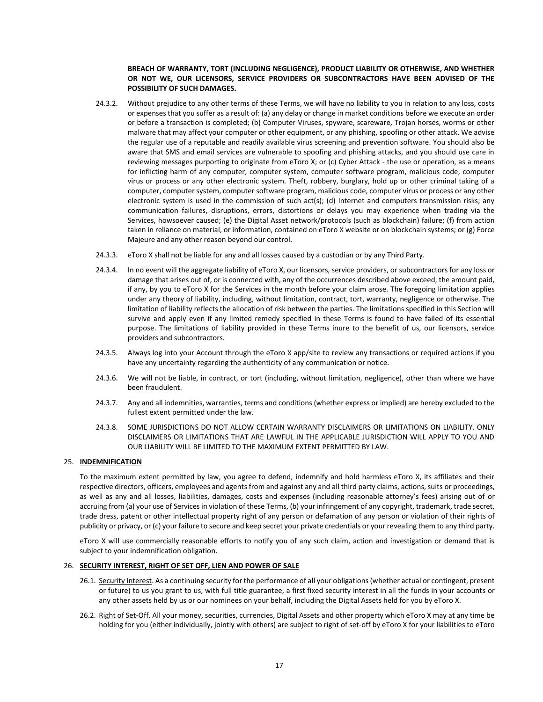## **BREACH OF WARRANTY, TORT (INCLUDING NEGLIGENCE), PRODUCT LIABILITY OR OTHERWISE, AND WHETHER OR NOT WE, OUR LICENSORS, SERVICE PROVIDERS OR SUBCONTRACTORS HAVE BEEN ADVISED OF THE POSSIBILITY OF SUCH DAMAGES.**

- 24.3.2. Without prejudice to any other terms of these Terms, we will have no liability to you in relation to any loss, costs or expenses that you suffer as a result of: (a) any delay or change in market conditions before we execute an order or before a transaction is completed; (b) Computer Viruses, spyware, scareware, Trojan horses, worms or other malware that may affect your computer or other equipment, or any phishing, spoofing or other attack. We advise the regular use of a reputable and readily available virus screening and prevention software. You should also be aware that SMS and email services are vulnerable to spoofing and phishing attacks, and you should use care in reviewing messages purporting to originate from eToro X; or (c) Cyber Attack - the use or operation, as a means for inflicting harm of any computer, computer system, computer software program, malicious code, computer virus or process or any other electronic system. Theft, robbery, burglary, hold up or other criminal taking of a computer, computer system, computer software program, malicious code, computer virus or process or any other electronic system is used in the commission of such act(s); (d) Internet and computers transmission risks; any communication failures, disruptions, errors, distortions or delays you may experience when trading via the Services, howsoever caused; (e) the Digital Asset network/protocols (such as blockchain) failure; (f) from action taken in reliance on material, or information, contained on eToro X website or on blockchain systems; or (g) Force Majeure and any other reason beyond our control.
- 24.3.3. eToro X shall not be liable for any and all losses caused by a custodian or by any Third Party.
- 24.3.4. In no event will the aggregate liability of eToro X, our licensors, service providers, or subcontractors for any loss or damage that arises out of, or is connected with, any of the occurrences described above exceed, the amount paid, if any, by you to eToro X for the Services in the month before your claim arose. The foregoing limitation applies under any theory of liability, including, without limitation, contract, tort, warranty, negligence or otherwise. The limitation of liability reflects the allocation of risk between the parties. The limitations specified in this Section will survive and apply even if any limited remedy specified in these Terms is found to have failed of its essential purpose. The limitations of liability provided in these Terms inure to the benefit of us, our licensors, service providers and subcontractors.
- 24.3.5. Always log into your Account through the eToro X app/site to review any transactions or required actions if you have any uncertainty regarding the authenticity of any communication or notice.
- 24.3.6. We will not be liable, in contract, or tort (including, without limitation, negligence), other than where we have been fraudulent.
- 24.3.7. Any and all indemnities, warranties, terms and conditions (whether express or implied) are hereby excluded to the fullest extent permitted under the law.
- 24.3.8. SOME JURISDICTIONS DO NOT ALLOW CERTAIN WARRANTY DISCLAIMERS OR LIMITATIONS ON LIABILITY. ONLY DISCLAIMERS OR LIMITATIONS THAT ARE LAWFUL IN THE APPLICABLE JURISDICTION WILL APPLY TO YOU AND OUR LIABILITY WILL BE LIMITED TO THE MAXIMUM EXTENT PERMITTED BY LAW.

## <span id="page-16-2"></span>25. **INDEMNIFICATION**

To the maximum extent permitted by law, you agree to defend, indemnify and hold harmless eToro X, its affiliates and their respective directors, officers, employees and agents from and against any and all third party claims, actions, suits or proceedings, as well as any and all losses, liabilities, damages, costs and expenses (including reasonable attorney's fees) arising out of or accruing from (a) your use of Services in violation of these Terms, (b) your infringement of any copyright, trademark, trade secret, trade dress, patent or other intellectual property right of any person or defamation of any person or violation of their rights of publicity or privacy, or (c) your failure to secure and keep secret your private credentials or your revealing them to any third party.

eToro X will use commercially reasonable efforts to notify you of any such claim, action and investigation or demand that is subject to your indemnification obligation.

## <span id="page-16-0"></span>26. **SECURITY INTEREST, RIGHT OF SET OFF, LIEN AND POWER OF SALE**

- 26.1. Security Interest. As a continuing security for the performance of all your obligations (whether actual or contingent, present or future) to us you grant to us, with full title guarantee, a first fixed security interest in all the funds in your accounts or any other assets held by us or our nominees on your behalf, including the Digital Assets held for you by eToro X.
- <span id="page-16-1"></span>26.2. Right of Set-Off. All your money, securities, currencies, Digital Assets and other property which eToro X may at any time be holding for you (either individually, jointly with others) are subject to right of set-off by eToro X for your liabilities to eToro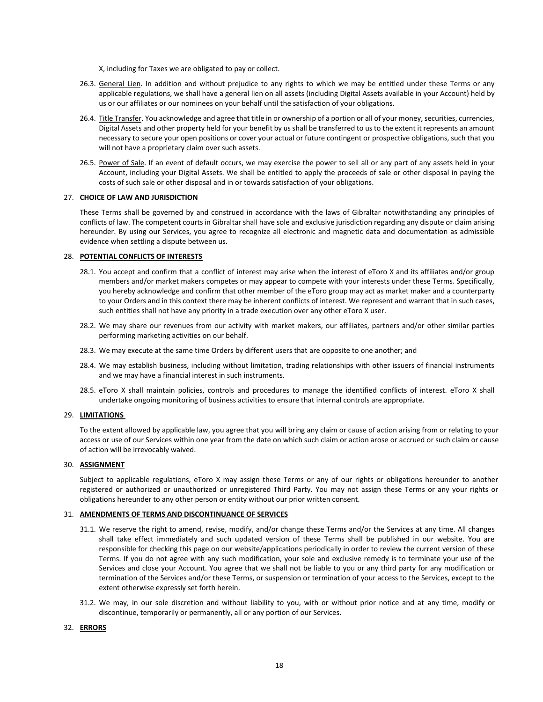X, including for Taxes we are obligated to pay or collect.

- 26.3. General Lien. In addition and without prejudice to any rights to which we may be entitled under these Terms or any applicable regulations, we shall have a general lien on all assets (including Digital Assets available in your Account) held by us or our affiliates or our nominees on your behalf until the satisfaction of your obligations.
- 26.4. Title Transfer. You acknowledge and agree that title in or ownership of a portion or all of your money, securities, currencies, Digital Assets and other property held for your benefit by us shall be transferred to us to the extent it represents an amount necessary to secure your open positions or cover your actual or future contingent or prospective obligations, such that you will not have a proprietary claim over such assets.
- 26.5. Power of Sale. If an event of default occurs, we may exercise the power to sell all or any part of any assets held in your Account, including your Digital Assets. We shall be entitled to apply the proceeds of sale or other disposal in paying the costs of such sale or other disposal and in or towards satisfaction of your obligations.

## <span id="page-17-0"></span>27. **CHOICE OF LAW AND JURISDICTION**

These Terms shall be governed by and construed in accordance with the laws of Gibraltar notwithstanding any principles of conflicts of law. The competent courts in Gibraltar shall have sole and exclusive jurisdiction regarding any dispute or claim arising hereunder. By using our Services, you agree to recognize all electronic and magnetic data and documentation as admissible evidence when settling a dispute between us.

## 28. **POTENTIAL CONFLICTS OF INTERESTS**

- 28.1. You accept and confirm that a conflict of interest may arise when the interest of eToro X and its affiliates and/or group members and/or market makers competes or may appear to compete with your interests under these Terms. Specifically, you hereby acknowledge and confirm that other member of the eToro group may act as market maker and a counterparty to your Orders and in this context there may be inherent conflicts of interest. We represent and warrant that in such cases, such entities shall not have any priority in a trade execution over any other eToro X user.
- 28.2. We may share our revenues from our activity with market makers, our affiliates, partners and/or other similar parties performing marketing activities on our behalf.
- 28.3. We may execute at the same time Orders by different users that are opposite to one another; and
- 28.4. We may establish business, including without limitation, trading relationships with other issuers of financial instruments and we may have a financial interest in such instruments.
- 28.5. eToro X shall maintain policies, controls and procedures to manage the identified conflicts of interest. eToro X shall undertake ongoing monitoring of business activities to ensure that internal controls are appropriate.

## 29. **LIMITATIONS**

To the extent allowed by applicable law, you agree that you will bring any claim or cause of action arising from or relating to your access or use of our Services within one year from the date on which such claim or action arose or accrued or such claim or cause of action will be irrevocably waived.

## 30. **ASSIGNMENT**

Subject to applicable regulations, eToro X may assign these Terms or any of our rights or obligations hereunder to another registered or authorized or unauthorized or unregistered Third Party. You may not assign these Terms or any your rights or obligations hereunder to any other person or entity without our prior written consent.

## 31. **AMENDMENTS OF TERMS AND DISCONTINUANCE OF SERVICES**

- 31.1. We reserve the right to amend, revise, modify, and/or change these Terms and/or the Services at any time. All changes shall take effect immediately and such updated version of these Terms shall be published in our website. You are responsible for checking this page on our website/applications periodically in order to review the current version of these Terms. If you do not agree with any such modification, your sole and exclusive remedy is to terminate your use of the Services and close your Account. You agree that we shall not be liable to you or any third party for any modification or termination of the Services and/or these Terms, or suspension or termination of your access to the Services, except to the extent otherwise expressly set forth herein.
- 31.2. We may, in our sole discretion and without liability to you, with or without prior notice and at any time, modify or discontinue, temporarily or permanently, all or any portion of our Services.

## 32. **ERRORS**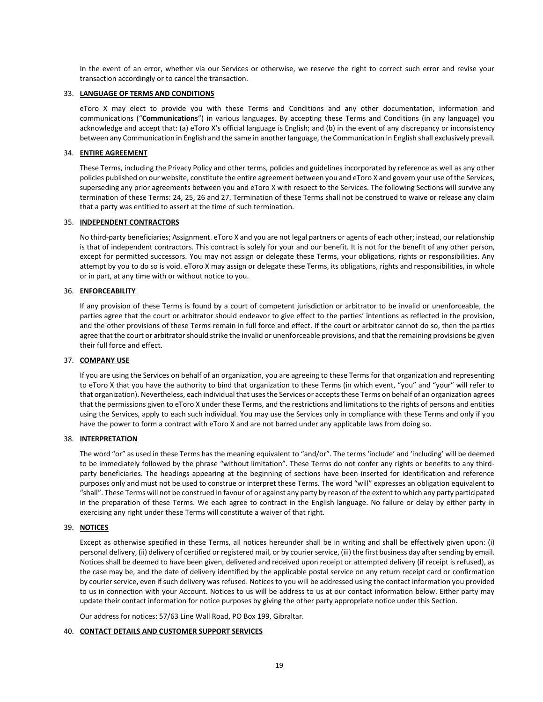In the event of an error, whether via our Services or otherwise, we reserve the right to correct such error and revise your transaction accordingly or to cancel the transaction.

## 33. **LANGUAGE OF TERMS AND CONDITIONS**

eToro X may elect to provide you with these Terms and Conditions and any other documentation, information and communications ("**Communications**") in various languages. By accepting these Terms and Conditions (in any language) you acknowledge and accept that: (a) eToro X's official language is English; and (b) in the event of any discrepancy or inconsistency between any Communication in English and the same in another language, the Communication in English shall exclusively prevail.

## 34. **ENTIRE AGREEMENT**

These Terms, including the Privacy Policy and other terms, policies and guidelines incorporated by reference as well as any other policies published on our website, constitute the entire agreement between you and eToro X and govern your use of the Services, superseding any prior agreements between you and eToro X with respect to the Services. The following Sections will survive any termination of these Terms: [24,](#page-14-0) [25,](#page-16-2) [26](#page-16-0) an[d 27.](#page-17-0) Termination of these Terms shall not be construed to waive or release any claim that a party was entitled to assert at the time of such termination.

## 35. **INDEPENDENT CONTRACTORS**

No third-party beneficiaries; Assignment. eToro X and you are not legal partners or agents of each other; instead, our relationship is that of independent contractors. This contract is solely for your and our benefit. It is not for the benefit of any other person, except for permitted successors. You may not assign or delegate these Terms, your obligations, rights or responsibilities. Any attempt by you to do so is void. eToro X may assign or delegate these Terms, its obligations, rights and responsibilities, in whole or in part, at any time with or without notice to you.

## 36. **ENFORCEABILITY**

If any provision of these Terms is found by a court of competent jurisdiction or arbitrator to be invalid or unenforceable, the parties agree that the court or arbitrator should endeavor to give effect to the parties' intentions as reflected in the provision, and the other provisions of these Terms remain in full force and effect. If the court or arbitrator cannot do so, then the parties agree that the court or arbitrator should strike the invalid or unenforceable provisions, and that the remaining provisions be given their full force and effect.

## 37. **COMPANY USE**

If you are using the Services on behalf of an organization, you are agreeing to these Terms for that organization and representing to eToro X that you have the authority to bind that organization to these Terms (in which event, "you" and "your" will refer to that organization). Nevertheless, each individual that uses the Services or accepts these Terms on behalf of an organization agrees that the permissions given to eToro X under these Terms, and the restrictions and limitations to the rights of persons and entities using the Services, apply to each such individual. You may use the Services only in compliance with these Terms and only if you have the power to form a contract with eToro X and are not barred under any applicable laws from doing so.

## 38. **INTERPRETATION**

The word "or" as used in these Terms has the meaning equivalent to "and/or". The terms 'include' and 'including' will be deemed to be immediately followed by the phrase "without limitation". These Terms do not confer any rights or benefits to any thirdparty beneficiaries. The headings appearing at the beginning of sections have been inserted for identification and reference purposes only and must not be used to construe or interpret these Terms. The word "will" expresses an obligation equivalent to "shall". These Terms will not be construed in favour of or against any party by reason of the extent to which any party participated in the preparation of these Terms. We each agree to contract in the English language. No failure or delay by either party in exercising any right under these Terms will constitute a waiver of that right.

## 39. **NOTICES**

Except as otherwise specified in these Terms, all notices hereunder shall be in writing and shall be effectively given upon: (i) personal delivery, (ii) delivery of certified or registered mail, or by courier service, (iii) the first business day after sending by email. Notices shall be deemed to have been given, delivered and received upon receipt or attempted delivery (if receipt is refused), as the case may be, and the date of delivery identified by the applicable postal service on any return receipt card or confirmation by courier service, even if such delivery was refused. Notices to you will be addressed using the contact information you provided to us in connection with your Account. Notices to us will be address to us at our contact information below. Either party may update their contact information for notice purposes by giving the other party appropriate notice under this Section.

Our address for notices: 57/63 Line Wall Road, PO Box 199, Gibraltar.

## 40. **CONTACT DETAILS AND CUSTOMER SUPPORT SERVICES**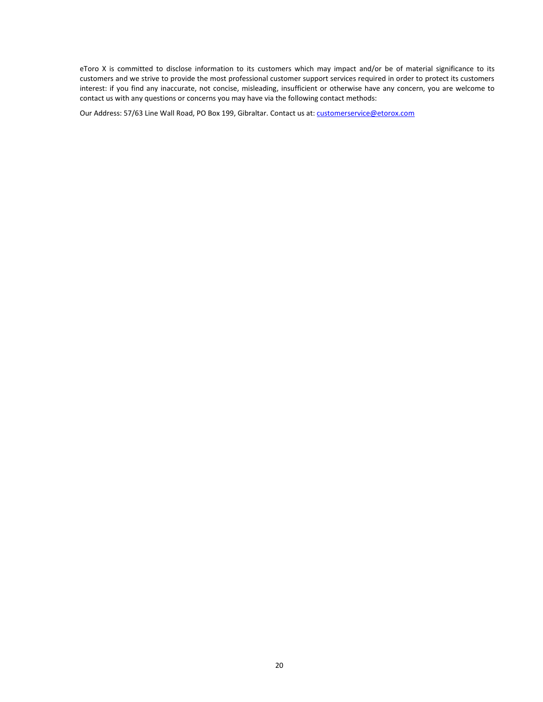eToro X is committed to disclose information to its customers which may impact and/or be of material significance to its customers and we strive to provide the most professional customer support services required in order to protect its customers interest: if you find any inaccurate, not concise, misleading, insufficient or otherwise have any concern, you are welcome to contact us with any questions or concerns you may have via the following contact methods:

Our Address: 57/63 Line Wall Road, PO Box 199, Gibraltar. Contact us at: customerservice@etorox.com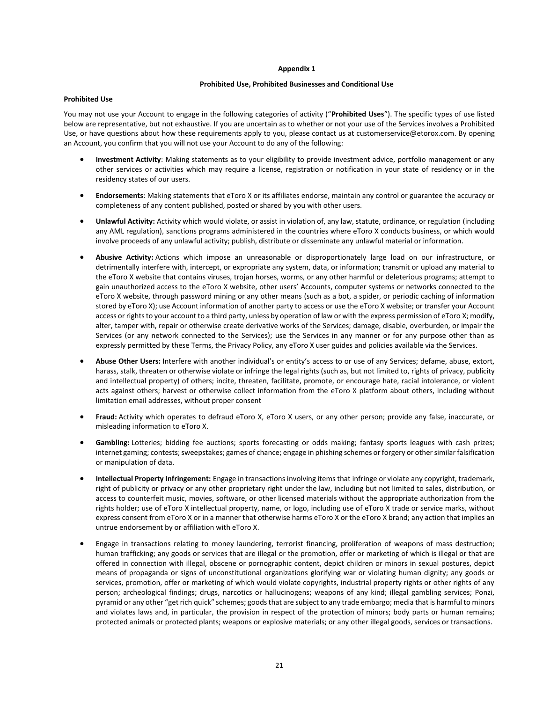#### **Appendix 1**

#### **Prohibited Use, Prohibited Businesses and Conditional Use**

#### **Prohibited Use**

You may not use your Account to engage in the following categories of activity ("**Prohibited Uses**"). The specific types of use listed below are representative, but not exhaustive. If you are uncertain as to whether or not your use of the Services involves a Prohibited Use, or have questions about how these requirements apply to you, please contact us at customerservice@etorox.com. By opening an Account, you confirm that you will not use your Account to do any of the following:

- **Investment Activity**: Making statements as to your eligibility to provide investment advice, portfolio management or any other services or activities which may require a license, registration or notification in your state of residency or in the residency states of our users.
- **Endorsements**: Making statements that eToro X or its affiliates endorse, maintain any control or guarantee the accuracy or completeness of any content published, posted or shared by you with other users.
- **Unlawful Activity:** Activity which would violate, or assist in violation of, any law, statute, ordinance, or regulation (including any AML regulation), sanctions programs administered in the countries where eToro X conducts business, or which would involve proceeds of any unlawful activity; publish, distribute or disseminate any unlawful material or information.
- **Abusive Activity:** Actions which impose an unreasonable or disproportionately large load on our infrastructure, or detrimentally interfere with, intercept, or expropriate any system, data, or information; transmit or upload any material to the eToro X website that contains viruses, trojan horses, worms, or any other harmful or deleterious programs; attempt to gain unauthorized access to the eToro X website, other users' Accounts, computer systems or networks connected to the eToro X website, through password mining or any other means (such as a bot, a spider, or periodic caching of information stored by eToro X); use Account information of another party to access or use the eToro X website; or transfer your Account access or rights to your account to a third party, unless by operation of law or with the express permission of eToro X; modify, alter, tamper with, repair or otherwise create derivative works of the Services; damage, disable, overburden, or impair the Services (or any network connected to the Services); use the Services in any manner or for any purpose other than as expressly permitted by these Terms, the Privacy Policy, any eToro X user guides and policies available via the Services.
- **Abuse Other Users:** Interfere with another individual's or entity's access to or use of any Services; defame, abuse, extort, harass, stalk, threaten or otherwise violate or infringe the legal rights (such as, but not limited to, rights of privacy, publicity and intellectual property) of others; incite, threaten, facilitate, promote, or encourage hate, racial intolerance, or violent acts against others; harvest or otherwise collect information from the eToro X platform about others, including without limitation email addresses, without proper consent
- **Fraud:** Activity which operates to defraud eToro X, eToro X users, or any other person; provide any false, inaccurate, or misleading information to eToro X.
- **Gambling:** Lotteries; bidding fee auctions; sports forecasting or odds making; fantasy sports leagues with cash prizes; internet gaming; contests; sweepstakes; games of chance; engage in phishing schemes or forgery or other similar falsification or manipulation of data.
- **Intellectual Property Infringement:** Engage in transactions involving items that infringe or violate any copyright, trademark, right of publicity or privacy or any other proprietary right under the law, including but not limited to sales, distribution, or access to counterfeit music, movies, software, or other licensed materials without the appropriate authorization from the rights holder; use of eToro X intellectual property, name, or logo, including use of eToro X trade or service marks, without express consent from eToro X or in a manner that otherwise harms eToro X or the eToro X brand; any action that implies an untrue endorsement by or affiliation with eToro X.
- Engage in transactions relating to money laundering, terrorist financing, proliferation of weapons of mass destruction; human trafficking; any goods or services that are illegal or the promotion, offer or marketing of which is illegal or that are offered in connection with illegal, obscene or pornographic content, depict children or minors in sexual postures, depict means of propaganda or signs of unconstitutional organizations glorifying war or violating human dignity; any goods or services, promotion, offer or marketing of which would violate copyrights, industrial property rights or other rights of any person; archeological findings; drugs, narcotics or hallucinogens; weapons of any kind; illegal gambling services; Ponzi, pyramid or any other "get rich quick" schemes; goods that are subject to any trade embargo; media that is harmful to minors and violates laws and, in particular, the provision in respect of the protection of minors; body parts or human remains; protected animals or protected plants; weapons or explosive materials; or any other illegal goods, services or transactions.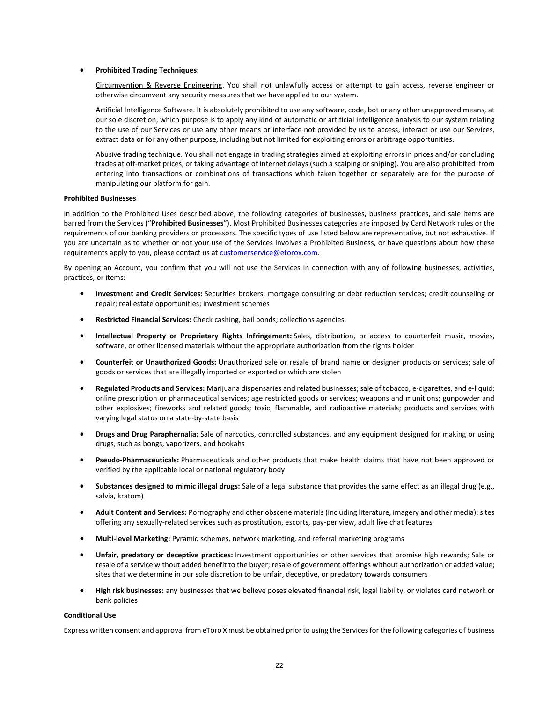### • **Prohibited Trading Techniques:**

Circumvention & Reverse Engineering. You shall not unlawfully access or attempt to gain access, reverse engineer or otherwise circumvent any security measures that we have applied to our system.

Artificial Intelligence Software. It is absolutely prohibited to use any software, code, bot or any other unapproved means, at our sole discretion, which purpose is to apply any kind of automatic or artificial intelligence analysis to our system relating to the use of our Services or use any other means or interface not provided by us to access, interact or use our Services, extract data or for any other purpose, including but not limited for exploiting errors or arbitrage opportunities.

Abusive trading technique. You shall not engage in trading strategies aimed at exploiting errors in prices and/or concluding trades at off-market prices, or taking advantage of internet delays (such a scalping or sniping). You are also prohibited from entering into transactions or combinations of transactions which taken together or separately are for the purpose of manipulating our platform for gain.

## **Prohibited Businesses**

In addition to the Prohibited Uses described above, the following categories of businesses, business practices, and sale items are barred from the Services ("**Prohibited Businesses**"). Most Prohibited Businesses categories are imposed by Card Network rules or the requirements of our banking providers or processors. The specific types of use listed below are representative, but not exhaustive. If you are uncertain as to whether or not your use of the Services involves a Prohibited Business, or have questions about how these requirements apply to you, please contact us at customerservice@etorox.com.

By opening an Account, you confirm that you will not use the Services in connection with any of following businesses, activities, practices, or items:

- **Investment and Credit Services:** Securities brokers; mortgage consulting or debt reduction services; credit counseling or repair; real estate opportunities; investment schemes
- **Restricted Financial Services:** Check cashing, bail bonds; collections agencies.
- **Intellectual Property or Proprietary Rights Infringement:** Sales, distribution, or access to counterfeit music, movies, software, or other licensed materials without the appropriate authorization from the rights holder
- **Counterfeit or Unauthorized Goods:** Unauthorized sale or resale of brand name or designer products or services; sale of goods or services that are illegally imported or exported or which are stolen
- **Regulated Products and Services:** Marijuana dispensaries and related businesses; sale of tobacco, e-cigarettes, and e-liquid; online prescription or pharmaceutical services; age restricted goods or services; weapons and munitions; gunpowder and other explosives; fireworks and related goods; toxic, flammable, and radioactive materials; products and services with varying legal status on a state-by-state basis
- **Drugs and Drug Paraphernalia:** Sale of narcotics, controlled substances, and any equipment designed for making or using drugs, such as bongs, vaporizers, and hookahs
- **Pseudo-Pharmaceuticals:** Pharmaceuticals and other products that make health claims that have not been approved or verified by the applicable local or national regulatory body
- **Substances designed to mimic illegal drugs:** Sale of a legal substance that provides the same effect as an illegal drug (e.g., salvia, kratom)
- **Adult Content and Services:** Pornography and other obscene materials (including literature, imagery and other media); sites offering any sexually-related services such as prostitution, escorts, pay-per view, adult live chat features
- **Multi-level Marketing:** Pyramid schemes, network marketing, and referral marketing programs
- **Unfair, predatory or deceptive practices:** Investment opportunities or other services that promise high rewards; Sale or resale of a service without added benefit to the buyer; resale of government offerings without authorization or added value; sites that we determine in our sole discretion to be unfair, deceptive, or predatory towards consumers
- **High risk businesses:** any businesses that we believe poses elevated financial risk, legal liability, or violates card network or bank policies

#### **Conditional Use**

Express written consent and approval from eToro X must be obtained prior to using the Services for the following categories of business